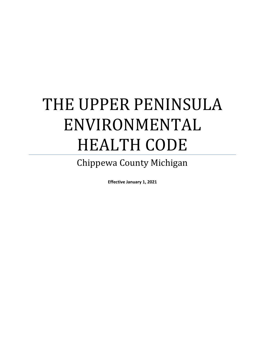# THE UPPER PENINSULA ENVIRONMENTAL HEALTH CODE

## Chippewa County Michigan

**Effective January 1, 2021**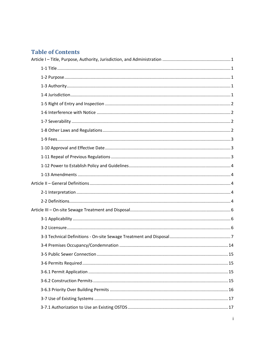## **Table of Contents**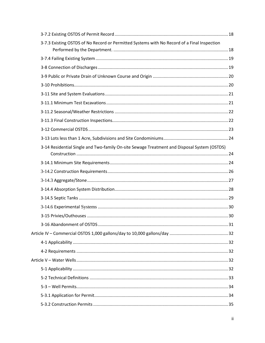| 3-7.3 Existing OSTDS of No Record or Permitted Systems with No Record of a Final Inspection |  |
|---------------------------------------------------------------------------------------------|--|
|                                                                                             |  |
|                                                                                             |  |
|                                                                                             |  |
|                                                                                             |  |
|                                                                                             |  |
|                                                                                             |  |
|                                                                                             |  |
|                                                                                             |  |
|                                                                                             |  |
|                                                                                             |  |
| 3-14 Residential Single and Two-family On-site Sewage Treatment and Disposal System (OSTDS) |  |
|                                                                                             |  |
|                                                                                             |  |
|                                                                                             |  |
|                                                                                             |  |
|                                                                                             |  |
|                                                                                             |  |
|                                                                                             |  |
|                                                                                             |  |
|                                                                                             |  |
|                                                                                             |  |
|                                                                                             |  |
|                                                                                             |  |
|                                                                                             |  |
|                                                                                             |  |
|                                                                                             |  |
|                                                                                             |  |
|                                                                                             |  |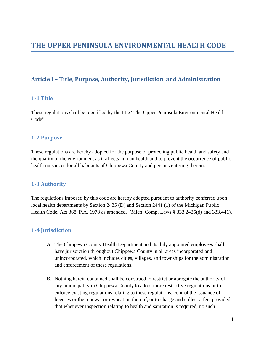## **THE UPPER PENINSULA ENVIRONMENTAL HEALTH CODE**

## <span id="page-5-0"></span>**Article I – Title, Purpose, Authority, Jurisdiction, and Administration**

#### <span id="page-5-1"></span>**1-1 Title**

These regulations shall be identified by the title "The Upper Peninsula Environmental Health Code".

#### <span id="page-5-2"></span>**1-2 Purpose**

These regulations are hereby adopted for the purpose of protecting public health and safety and the quality of the environment as it affects human health and to prevent the occurrence of public health nuisances for all habitants of Chippewa County and persons entering therein.

#### <span id="page-5-3"></span>**1-3 Authority**

The regulations imposed by this code are hereby adopted pursuant to authority conferred upon local health departments by Section 2435 (D) and Section 2441 (1) of the Michigan Public Health Code, Act 368, P.A. 1978 as amended. (Mich. Comp. Laws § 333.2435(d) and 333.441).

#### <span id="page-5-4"></span>**1-4 Jurisdiction**

- A. The Chippewa County Health Department and its duly appointed employees shall have jurisdiction throughout Chippewa County in all areas incorporated and unincorporated, which includes cities, villages, and townships for the administration and enforcement of these regulations.
- B. Nothing herein contained shall be construed to restrict or abrogate the authority of any municipality in Chippewa County to adopt more restrictive regulations or to enforce existing regulations relating to these regulations, control the issuance of licenses or the renewal or revocation thereof, or to charge and collect a fee, provided that whenever inspection relating to health and sanitation is required, no such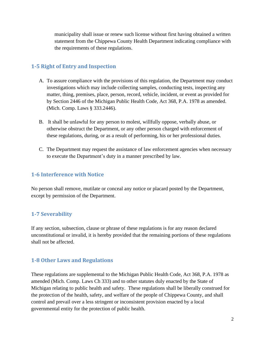municipality shall issue or renew such license without first having obtained a written statement from the Chippewa County Health Department indicating compliance with the requirements of these regulations.

## <span id="page-6-0"></span>**1-5 Right of Entry and Inspection**

- A. To assure compliance with the provisions of this regulation, the Department may conduct investigations which may include collecting samples, conducting tests, inspecting any matter, thing, premises, place, person, record, vehicle, incident, or event as provided for by Section 2446 of the Michigan Public Health Code, Act 368, P.A. 1978 as amended. (Mich. Comp. Laws § 333.2446).
- B. It shall be unlawful for any person to molest, willfully oppose, verbally abuse, or otherwise obstruct the Department, or any other person charged with enforcement of these regulations, during, or as a result of performing, his or her professional duties.
- C. The Department may request the assistance of law enforcement agencies when necessary to execute the Department's duty in a manner prescribed by law.

## <span id="page-6-1"></span>**1-6 Interference with Notice**

No person shall remove, mutilate or conceal any notice or placard posted by the Department, except by permission of the Department.

## <span id="page-6-2"></span>**1-7 Severability**

If any section, subsection, clause or phrase of these regulations is for any reason declared unconstitutional or invalid, it is hereby provided that the remaining portions of these regulations shall not be affected.

## <span id="page-6-3"></span>**1-8 Other Laws and Regulations**

These regulations are supplemental to the Michigan Public Health Code, Act 368, P.A. 1978 as amended (Mich. Comp. Laws Ch 333) and to other statutes duly enacted by the State of Michigan relating to public health and safety. These regulations shall be liberally construed for the protection of the health, safety, and welfare of the people of Chippewa County, and shall control and prevail over a less stringent or inconsistent provision enacted by a local governmental entity for the protection of public health.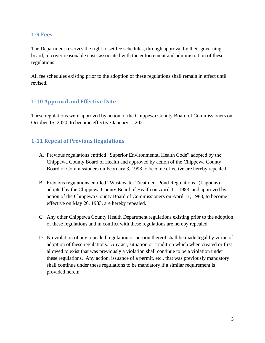#### <span id="page-7-0"></span>**1-9 Fees**

The Department reserves the right to set fee schedules, through approval by their governing board, to cover reasonable costs associated with the enforcement and administration of these regulations.

All fee schedules existing prior to the adoption of these regulations shall remain in effect until revised.

### <span id="page-7-1"></span>**1-10 Approval and Effective Date**

These regulations were approved by action of the Chippewa County Board of Commissioners on October 15, 2020, to become effective January 1, 2021.

## <span id="page-7-2"></span>**1-11 Repeal of Previous Regulations**

- A. Previous regulations entitled "Superior Environmental Health Code" adopted by the Chippewa County Board of Health and approved by action of the Chippewa County Board of Commissioners on February 3, 1998 to become effective are hereby repealed.
- B. Previous regulations entitled "Wastewater Treatment Pond Regulations" (Lagoons) adopted by the Chippewa County Board of Health on April 11, 1983, and approved by action of the Chippewa County Board of Commissioners on April 11, 1983, to become effective on May 26, 1983, are hereby repealed.
- C. Any other Chippewa County Health Department regulations existing prior to the adoption of these regulations and in conflict with these regulations are hereby repealed.
- D. No violation of any repealed regulation or portion thereof shall be made legal by virtue of adoption of these regulations. Any act, situation or condition which when created or first allowed to exist that was previously a violation shall continue to be a violation under these regulations. Any action, issuance of a permit, etc., that was previously mandatory shall continue under these regulations to be mandatory if a similar requirement is provided herein.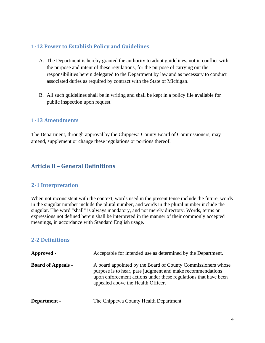## <span id="page-8-0"></span>**1-12 Power to Establish Policy and Guidelines**

- A. The Department is hereby granted the authority to adopt guidelines, not in conflict with the purpose and intent of these regulations, for the purpose of carrying out the responsibilities herein delegated to the Department by law and as necessary to conduct associated duties as required by contract with the State of Michigan.
- B. All such guidelines shall be in writing and shall be kept in a policy file available for public inspection upon request.

### <span id="page-8-1"></span>**1-13 Amendments**

The Department, through approval by the Chippewa County Board of Commissioners, may amend, supplement or change these regulations or portions thereof.

## <span id="page-8-2"></span>**Article II – General Definitions**

#### <span id="page-8-3"></span>**2-1 Interpretation**

When not inconsistent with the context, words used in the present tense include the future, words in the singular number include the plural number, and words in the plural number include the singular. The word "shall" is always mandatory, and not merely directory. Words, terms or expressions not defined herein shall be interpreted in the manner of their commonly accepted meanings, in accordance with Standard English usage.

## <span id="page-8-4"></span>**2-2 Definitions**

| Approved -                | Acceptable for intended use as determined by the Department.                                                                                                                                                                        |
|---------------------------|-------------------------------------------------------------------------------------------------------------------------------------------------------------------------------------------------------------------------------------|
| <b>Board of Appeals -</b> | A board appointed by the Board of County Commissioners whose<br>purpose is to hear, pass judgment and make recommendations<br>upon enforcement actions under these regulations that have been<br>appealed above the Health Officer. |
| Department -              | The Chippewa County Health Department                                                                                                                                                                                               |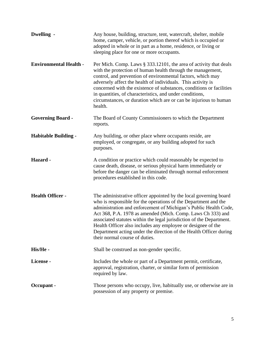| Dwelling -                    | Any house, building, structure, tent, watercraft, shelter, mobile<br>home, camper, vehicle, or portion thereof which is occupied or<br>adopted in whole or in part as a home, residence, or living or<br>sleeping place for one or more occupants.                                                                                                                                                                                                                                                                      |
|-------------------------------|-------------------------------------------------------------------------------------------------------------------------------------------------------------------------------------------------------------------------------------------------------------------------------------------------------------------------------------------------------------------------------------------------------------------------------------------------------------------------------------------------------------------------|
| <b>Environmental Health -</b> | Per Mich. Comp. Laws § 333.12101, the area of activity that deals<br>with the protection of human health through the management,<br>control, and prevention of environmental factors, which may<br>adversely affect the health of individuals. This activity is<br>concerned with the existence of substances, conditions or facilities<br>in quantities, of characteristics, and under conditions,<br>circumstances, or duration which are or can be injurious to human<br>health.                                     |
| <b>Governing Board -</b>      | The Board of County Commissioners to which the Department<br>reports.                                                                                                                                                                                                                                                                                                                                                                                                                                                   |
| <b>Habitable Building -</b>   | Any building, or other place where occupants reside, are<br>employed, or congregate, or any building adopted for such<br>purposes.                                                                                                                                                                                                                                                                                                                                                                                      |
| Hazard -                      | A condition or practice which could reasonably be expected to<br>cause death, disease, or serious physical harm immediately or<br>before the danger can be eliminated through normal enforcement<br>procedures established in this code.                                                                                                                                                                                                                                                                                |
| <b>Health Officer -</b>       | The administrative officer appointed by the local governing board<br>who is responsible for the operations of the Department and the<br>administration and enforcement of Michigan's Public Health Code,<br>Act 368, P.A. 1978 as amended (Mich. Comp. Laws Ch 333) and<br>associated statutes within the legal jurisdiction of the Department.<br>Health Officer also includes any employee or designee of the<br>Department acting under the direction of the Health Officer during<br>their normal course of duties. |
| His/He-                       | Shall be construed as non-gender specific.                                                                                                                                                                                                                                                                                                                                                                                                                                                                              |
| License -                     | Includes the whole or part of a Department permit, certificate,<br>approval, registration, charter, or similar form of permission<br>required by law.                                                                                                                                                                                                                                                                                                                                                                   |
| Occupant -                    | Those persons who occupy, live, habitually use, or otherwise are in<br>possession of any property or premise.                                                                                                                                                                                                                                                                                                                                                                                                           |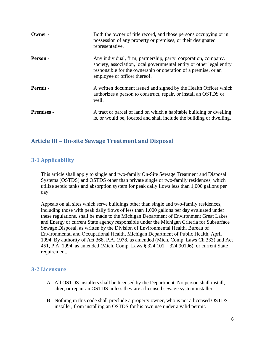| Owner -           | Both the owner of title record, and those persons occupying or in<br>possession of any property or premises, or their designated<br>representative.                                                                                        |
|-------------------|--------------------------------------------------------------------------------------------------------------------------------------------------------------------------------------------------------------------------------------------|
| <b>Person</b> -   | Any individual, firm, partnership, party, corporation, company,<br>society, association, local governmental entity or other legal entity<br>responsible for the ownership or operation of a premise, or an<br>employee or officer thereof. |
| Permit -          | A written document issued and signed by the Health Officer which<br>authorizes a person to construct, repair, or install an OSTDS or<br>well.                                                                                              |
| <b>Premises -</b> | A tract or parcel of land on which a habitable building or dwelling<br>is, or would be, located and shall include the building or dwelling.                                                                                                |

## <span id="page-10-0"></span>**Article III – On-site Sewage Treatment and Disposal**

## <span id="page-10-1"></span>**3-1 Applicability**

This article shall apply to single and two-family On-Site Sewage Treatment and Disposal Systems (OSTDS) and OSTDS other than private single or two-family residences, which utilize septic tanks and absorption system for peak daily flows less than 1,000 gallons per day.

Appeals on all sites which serve buildings other than single and two-family residences, including those with peak daily flows of less than 1,000 gallons per day evaluated under these regulations, shall be made to the Michigan Department of Environment Great Lakes and Energy or current State agency responsible under the Michigan Criteria for Subsurface Sewage Disposal, as written by the Division of Environmental Health, Bureau of Environmental and Occupational Health, Michigan Department of Public Health, April 1994, By authority of Act 368, P.A. 1978, as amended (Mich. Comp. Laws Ch 333) and Act 451, P.A. 1994, as amended (Mich. Comp. Laws § 324.101 – 324.90106), or current State requirement.

#### <span id="page-10-2"></span>**3-2 Licensure**

- A. All OSTDS installers shall be licensed by the Department. No person shall install, alter, or repair an OSTDS unless they are a licensed sewage system installer.
- B. Nothing in this code shall preclude a property owner, who is not a licensed OSTDS installer, from installing an OSTDS for his own use under a valid permit.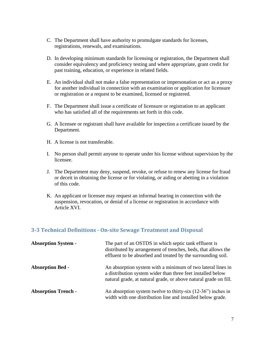- C. The Department shall have authority to promulgate standards for licenses, registrations, renewals, and examinations.
- D. In developing minimum standards for licensing or registration, the Department shall consider equivalency and proficiency testing and where appropriate, grant credit for past training, education, or experience in related fields.
- E. An individual shall not make a false representation or impersonation or act as a proxy for another individual in connection with an examination or application for licensure or registration or a request to be examined, licensed or registered.
- F. The Department shall issue a certificate of licensure or registration to an applicant who has satisfied all of the requirements set forth in this code.
- G. A licensee or registrant shall have available for inspection a certificate issued by the Department.
- H. A license is not transferable.
- I. No person shall permit anyone to operate under his license without supervision by the licensee.
- J. The Department may deny, suspend, revoke, or refuse to renew any license for fraud or deceit in obtaining the license or for violating, or aiding or abetting in a violation of this code.
- K. An applicant or licensee may request an informal hearing in connection with the suspension, revocation, or denial of a license or registration in accordance with Article XVI.

#### <span id="page-11-0"></span>**3-3 Technical Definitions - On-site Sewage Treatment and Disposal**

| <b>Absorption System -</b> | The part of an OSTDS in which septic tank effluent is<br>distributed by arrangement of trenches, beds, that allows the<br>effluent to be absorbed and treated by the surrounding soil.         |
|----------------------------|------------------------------------------------------------------------------------------------------------------------------------------------------------------------------------------------|
| <b>Absorption Bed -</b>    | An absorption system with a minimum of two lateral lines in<br>a distribution system wider than three feet installed below<br>natural grade, at natural grade, or above natural grade on fill. |
| <b>Absorption Trench -</b> | An absorption system twelve to thirty-six $(12-36)$ inches in<br>width with one distribution line and installed below grade.                                                                   |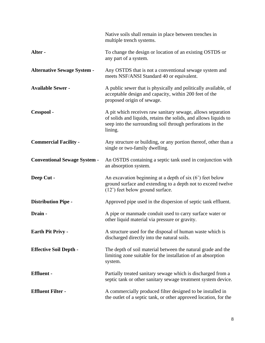|                                     | Native soils shall remain in place between trenches in<br>multiple trench systems.                                                                                                                       |
|-------------------------------------|----------------------------------------------------------------------------------------------------------------------------------------------------------------------------------------------------------|
| Alter -                             | To change the design or location of an existing OSTDS or<br>any part of a system.                                                                                                                        |
| <b>Alternative Sewage System -</b>  | Any OSTDS that is not a conventional sewage system and<br>meets NSF/ANSI Standard 40 or equivalent.                                                                                                      |
| <b>Available Sewer -</b>            | A public sewer that is physically and politically available, of<br>acceptable design and capacity, within 200 feet of the<br>proposed origin of sewage.                                                  |
| Cesspool -                          | A pit which receives raw sanitary sewage, allows separation<br>of solids and liquids, retains the solids, and allows liquids to<br>seep into the surrounding soil through perforations in the<br>lining. |
| <b>Commercial Facility -</b>        | Any structure or building, or any portion thereof, other than a<br>single or two-family dwelling.                                                                                                        |
| <b>Conventional Sewage System -</b> | An OSTDS containing a septic tank used in conjunction with<br>an absorption system.                                                                                                                      |
| Deep Cut -                          | An excavation beginning at a depth of six $(6')$ feet below<br>ground surface and extending to a depth not to exceed twelve<br>(12') feet below ground surface.                                          |
| <b>Distribution Pipe -</b>          | Approved pipe used in the dispersion of septic tank effluent.                                                                                                                                            |
| Drain -                             | A pipe or manmade conduit used to carry surface water or<br>other liquid material via pressure or gravity.                                                                                               |
| <b>Earth Pit Privy -</b>            | A structure used for the disposal of human waste which is<br>discharged directly into the natural soils.                                                                                                 |
| <b>Effective Soil Depth -</b>       | The depth of soil material between the natural grade and the<br>limiting zone suitable for the installation of an absorption<br>system.                                                                  |
| <b>Effluent</b> -                   | Partially treated sanitary sewage which is discharged from a<br>septic tank or other sanitary sewage treatment system device.                                                                            |
| <b>Effluent Filter -</b>            | A commercially produced filter designed to be installed in<br>the outlet of a septic tank, or other approved location, for the                                                                           |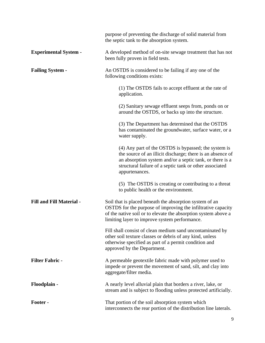|                                 | purpose of preventing the discharge of solid material from<br>the septic tank to the absorption system.                                                                                                                                                     |
|---------------------------------|-------------------------------------------------------------------------------------------------------------------------------------------------------------------------------------------------------------------------------------------------------------|
| <b>Experimental System -</b>    | A developed method of on-site sewage treatment that has not<br>been fully proven in field tests.                                                                                                                                                            |
| <b>Failing System -</b>         | An OSTDS is considered to be failing if any one of the<br>following conditions exists:                                                                                                                                                                      |
|                                 | (1) The OSTDS fails to accept effluent at the rate of<br>application.                                                                                                                                                                                       |
|                                 | (2) Sanitary sewage effluent seeps from, ponds on or<br>around the OSTDS, or backs up into the structure.                                                                                                                                                   |
|                                 | (3) The Department has determined that the OSTDS<br>has contaminated the groundwater, surface water, or a<br>water supply.                                                                                                                                  |
|                                 | (4) Any part of the OSTDS is bypassed; the system is<br>the source of an illicit discharge; there is an absence of<br>an absorption system and/or a septic tank, or there is a<br>structural failure of a septic tank or other associated<br>appurtenances. |
|                                 | (5) The OSTDS is creating or contributing to a threat<br>to public health or the environment.                                                                                                                                                               |
| <b>Fill and Fill Material -</b> | Soil that is placed beneath the absorption system of an<br>OSTDS for the purpose of improving the infiltrative capacity<br>of the native soil or to elevate the absorption system above a<br>limiting layer to improve system performance.                  |
|                                 | Fill shall consist of clean medium sand uncontaminated by<br>other soil texture classes or debris of any kind, unless<br>otherwise specified as part of a permit condition and<br>approved by the Department.                                               |
| <b>Filter Fabric -</b>          | A permeable geotextile fabric made with polymer used to<br>impede or prevent the movement of sand, silt, and clay into<br>aggregate/filter media.                                                                                                           |
| Floodplain -                    | A nearly level alluvial plain that borders a river, lake, or<br>stream and is subject to flooding unless protected artificially.                                                                                                                            |
| Footer -                        | That portion of the soil absorption system which<br>interconnects the rear portion of the distribution line laterals.                                                                                                                                       |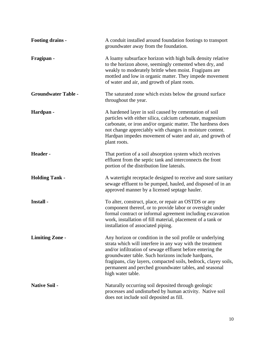| <b>Footing drains -</b>    | A conduit installed around foundation footings to transport<br>groundwater away from the foundation.                                                                                                                                                                                                                                                                                          |
|----------------------------|-----------------------------------------------------------------------------------------------------------------------------------------------------------------------------------------------------------------------------------------------------------------------------------------------------------------------------------------------------------------------------------------------|
| Fragipan -                 | A loamy subsurface horizon with high bulk density relative<br>to the horizon above, seemingly cemented when dry, and<br>weakly to moderately brittle when moist. Fragipans are<br>mottled and low in organic matter. They impede movement<br>of water and air, and growth of plant roots.                                                                                                     |
| <b>Groundwater Table -</b> | The saturated zone which exists below the ground surface<br>throughout the year.                                                                                                                                                                                                                                                                                                              |
| Hardpan -                  | A hardened layer in soil caused by cementation of soil<br>particles with either silica, calcium carbonate, magnesium<br>carbonate, or iron and/or organic matter. The hardness does<br>not change appreciably with changes in moisture content.<br>Hardpan impedes movement of water and air, and growth of<br>plant roots.                                                                   |
| Header-                    | That portion of a soil absorption system which receives<br>effluent from the septic tank and interconnects the front<br>portion of the distribution line laterals.                                                                                                                                                                                                                            |
| <b>Holding Tank -</b>      | A watertight receptacle designed to receive and store sanitary<br>sewage effluent to be pumped, hauled, and disposed of in an<br>approved manner by a licensed septage hauler.                                                                                                                                                                                                                |
| Install -                  | To alter, construct, place, or repair an OSTDS or any<br>component thereof, or to provide labor or oversight under<br>formal contract or informal agreement including excavation<br>work, installation of fill material, placement of a tank or<br>installation of associated piping.                                                                                                         |
| <b>Limiting Zone -</b>     | Any horizon or condition in the soil profile or underlying<br>strata which will interfere in any way with the treatment<br>and/or infiltration of sewage effluent before entering the<br>groundwater table. Such horizons include hardpans,<br>fragipans, clay layers, compacted soils, bedrock, clayey soils,<br>permanent and perched groundwater tables, and seasonal<br>high water table. |
| <b>Native Soil -</b>       | Naturally occurring soil deposited through geologic<br>processes and undisturbed by human activity. Native soil<br>does not include soil deposited as fill.                                                                                                                                                                                                                                   |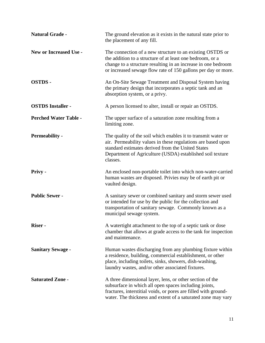| <b>Natural Grade -</b>        | The ground elevation as it exists in the natural state prior to<br>the placement of any fill.                                                                                                                                                               |
|-------------------------------|-------------------------------------------------------------------------------------------------------------------------------------------------------------------------------------------------------------------------------------------------------------|
| <b>New or Increased Use -</b> | The connection of a new structure to an existing OSTDS or<br>the addition to a structure of at least one bedroom, or a<br>change to a structure resulting in an increase in one bedroom<br>or increased sewage flow rate of 150 gallons per day or more.    |
| <b>OSTDS-</b>                 | An On-Site Sewage Treatment and Disposal System having<br>the primary design that incorporates a septic tank and an<br>absorption system, or a privy.                                                                                                       |
| <b>OSTDS</b> Installer -      | A person licensed to alter, install or repair an OSTDS.                                                                                                                                                                                                     |
| <b>Perched Water Table -</b>  | The upper surface of a saturation zone resulting from a<br>limiting zone.                                                                                                                                                                                   |
| <b>Permeability -</b>         | The quality of the soil which enables it to transmit water or<br>air. Permeability values in these regulations are based upon<br>standard estimates derived from the United States<br>Department of Agriculture (USDA) established soil texture<br>classes. |
| <b>Privy -</b>                | An enclosed non-portable toilet into which non-water-carried<br>human wastes are disposed. Privies may be of earth pit or<br>vaulted design.                                                                                                                |
| <b>Public Sewer -</b>         | A sanitary sewer or combined sanitary and storm sewer used<br>or intended for use by the public for the collection and<br>transportation of sanitary sewage. Commonly known as a<br>municipal sewage system.                                                |
| Riser -                       | A watertight attachment to the top of a septic tank or dose<br>chamber that allows at grade access to the tank for inspection<br>and maintenance.                                                                                                           |
| <b>Sanitary Sewage -</b>      | Human wastes discharging from any plumbing fixture within<br>a residence, building, commercial establishment, or other<br>place, including toilets, sinks, showers, dish-washing,<br>laundry wastes, and/or other associated fixtures.                      |
| <b>Saturated Zone -</b>       | A three dimensional layer, lens, or other section of the<br>subsurface in which all open spaces including joints,<br>fractures, interstitial voids, or pores are filled with ground-<br>water. The thickness and extent of a saturated zone may vary        |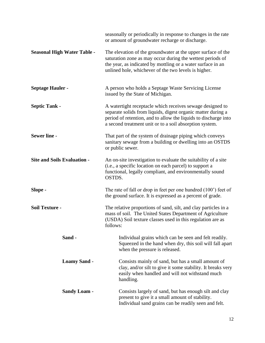|                                    | seasonally or periodically in response to changes in the rate<br>or amount of groundwater recharge or discharge.                                                                                                                                        |  |  |  |
|------------------------------------|---------------------------------------------------------------------------------------------------------------------------------------------------------------------------------------------------------------------------------------------------------|--|--|--|
| <b>Seasonal High Water Table -</b> | The elevation of the groundwater at the upper surface of the<br>saturation zone as may occur during the wettest periods of<br>the year, as indicated by mottling or a water surface in an<br>unlined hole, whichever of the two levels is higher.       |  |  |  |
| <b>Septage Hauler -</b>            | A person who holds a Septage Waste Servicing License<br>issued by the State of Michigan.                                                                                                                                                                |  |  |  |
| <b>Septic Tank -</b>               | A watertight receptacle which receives sewage designed to<br>separate solids from liquids, digest organic matter during a<br>period of retention, and to allow the liquids to discharge into<br>a second treatment unit or to a soil absorption system. |  |  |  |
| <b>Sewer line -</b>                | That part of the system of drainage piping which conveys<br>sanitary sewage from a building or dwelling into an OSTDS<br>or public sewer.                                                                                                               |  |  |  |
| <b>Site and Soils Evaluation -</b> | An on-site investigation to evaluate the suitability of a site<br>(i.e., a specific location on each parcel) to support a<br>functional, legally compliant, and environmentally sound<br>OSTDS.                                                         |  |  |  |
| Slope -                            | The rate of fall or drop in feet per one hundred $(100')$ feet of<br>the ground surface. It is expressed as a percent of grade.                                                                                                                         |  |  |  |
| <b>Soil Texture -</b>              | The relative proportions of sand, silt, and clay particles in a<br>mass of soil. The United States Department of Agriculture<br>(USDA) Soil texture classes used in this regulation are as<br>follows:                                                  |  |  |  |
| Sand -                             | Individual grains which can be seen and felt readily.<br>Squeezed in the hand when dry, this soil will fall apart<br>when the pressure is released.                                                                                                     |  |  |  |
| <b>Loamy Sand -</b>                | Consists mainly of sand, but has a small amount of<br>clay, and/or silt to give it some stability. It breaks very<br>easily when handled and will not withstand much<br>handling.                                                                       |  |  |  |
| <b>Sandy Loam -</b>                | Consists largely of sand, but has enough silt and clay<br>present to give it a small amount of stability.<br>Individual sand grains can be readily seen and felt.                                                                                       |  |  |  |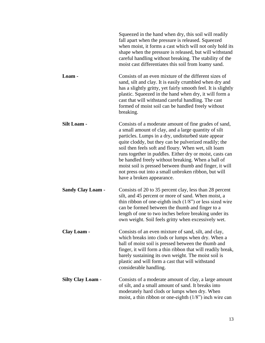|                          | Squeezed in the hand when dry, this soil will readily<br>fall apart when the pressure is released. Squeezed<br>when moist, it forms a cast which will not only hold its<br>shape when the pressure is released, but will withstand<br>careful handling without breaking. The stability of the<br>moist cast differentiates this soil from loamy sand.                                                                                                                                                                                                   |
|--------------------------|---------------------------------------------------------------------------------------------------------------------------------------------------------------------------------------------------------------------------------------------------------------------------------------------------------------------------------------------------------------------------------------------------------------------------------------------------------------------------------------------------------------------------------------------------------|
| Loam -                   | Consists of an even mixture of the different sizes of<br>sand, silt and clay. It is easily crumbled when dry and<br>has a slightly gritty, yet fairly smooth feel. It is slightly<br>plastic. Squeezed in the hand when dry, it will form a<br>cast that will withstand careful handling. The cast<br>formed of moist soil can be handled freely without<br>breaking.                                                                                                                                                                                   |
| <b>Silt Loam -</b>       | Consists of a moderate amount of fine grades of sand,<br>a small amount of clay, and a large quantity of silt<br>particles. Lumps in a dry, undisturbed state appear<br>quite cloddy, but they can be pulverized readily; the<br>soil then feels soft and floury. When wet, silt loam<br>runs together in puddles. Either dry or moist, casts can<br>be handled freely without breaking. When a ball of<br>moist soil is pressed between thumb and finger, it will<br>not press out into a small unbroken ribbon, but will<br>have a broken appearance. |
| <b>Sandy Clay Loam -</b> | Consists of 20 to 35 percent clay, less than 28 percent<br>silt, and 45 percent or more of sand. When moist, a<br>thin ribbon of one-eighth inch $(1/8)$ or less sized wire<br>can be formed between the thumb and finger to a<br>length of one to two inches before breaking under its<br>own weight. Soil feels gritty when excessively wet.                                                                                                                                                                                                          |
| Clay Loam -              | Consists of an even mixture of sand, silt, and clay,<br>which breaks into clods or lumps when dry. When a<br>ball of moist soil is pressed between the thumb and<br>finger, it will form a thin ribbon that will readily break,<br>barely sustaining its own weight. The moist soil is<br>plastic and will form a cast that will withstand<br>considerable handling.                                                                                                                                                                                    |
| <b>Silty Clay Loam -</b> | Consists of a moderate amount of clay, a large amount<br>of silt, and a small amount of sand. It breaks into<br>moderately hard clods or lumps when dry. When<br>moist, a thin ribbon or one-eighth $(1/8)$ inch wire can                                                                                                                                                                                                                                                                                                                               |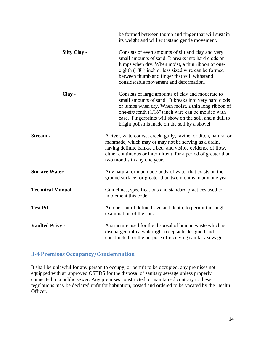|                           | be formed between thumb and finger that will sustain<br>its weight and will withstand gentle movement.                                                                                                                                                                                                                                 |  |
|---------------------------|----------------------------------------------------------------------------------------------------------------------------------------------------------------------------------------------------------------------------------------------------------------------------------------------------------------------------------------|--|
| <b>Silty Clay -</b>       | Consists of even amounts of silt and clay and very<br>small amounts of sand. It breaks into hard clods or<br>lumps when dry. When moist, a thin ribbon of one-<br>eighth $(1/8)$ inch or less sized wire can be formed<br>between thumb and finger that will withstand<br>considerable movement and deformation.                       |  |
| Clay -                    | Consists of large amounts of clay and moderate to<br>small amounts of sand. It breaks into very hard clods<br>or lumps when dry. When moist, a thin long ribbon of<br>one-sixteenth $(1/16)$ inch wire can be molded with<br>ease. Fingerprints will show on the soil, and a dull to<br>bright polish is made on the soil by a shovel. |  |
| Stream -                  | A river, watercourse, creek, gully, ravine, or ditch, natural or<br>manmade, which may or may not be serving as a drain,<br>having definite banks, a bed, and visible evidence of flow,<br>either continuous or intermittent, for a period of greater than<br>two months in any one year.                                              |  |
| <b>Surface Water -</b>    | Any natural or manmade body of water that exists on the<br>ground surface for greater than two months in any one year.                                                                                                                                                                                                                 |  |
| <b>Technical Manual -</b> | Guidelines, specifications and standard practices used to<br>implement this code.                                                                                                                                                                                                                                                      |  |
| <b>Test Pit -</b>         | An open pit of defined size and depth, to permit thorough<br>examination of the soil.                                                                                                                                                                                                                                                  |  |
| <b>Vaulted Privy -</b>    | A structure used for the disposal of human waste which is<br>discharged into a watertight receptacle designed and<br>constructed for the purpose of receiving sanitary sewage.                                                                                                                                                         |  |

## <span id="page-18-0"></span>**3-4 Premises Occupancy/Condemnation**

It shall be unlawful for any person to occupy, or permit to be occupied, any premises not equipped with an approved OSTDS for the disposal of sanitary sewage unless properly connected to a public sewer. Any premises constructed or maintained contrary to these regulations may be declared unfit for habitation, posted and ordered to be vacated by the Health Officer.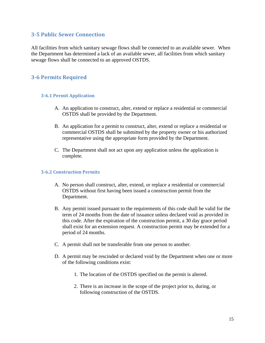#### <span id="page-19-0"></span>**3-5 Public Sewer Connection**

All facilities from which sanitary sewage flows shall be connected to an available sewer. When the Department has determined a lack of an available sewer, all facilities from which sanitary sewage flows shall be connected to an approved OSTDS.

#### <span id="page-19-1"></span>**3-6 Permits Required**

#### <span id="page-19-2"></span>**3-6.1 Permit Application**

- A. An application to construct, alter, extend or replace a residential or commercial OSTDS shall be provided by the Department.
- B. An application for a permit to construct, alter, extend or replace a residential or commercial OSTDS shall be submitted by the property owner or his authorized representative using the appropriate form provided by the Department.
- C. The Department shall not act upon any application unless the application is complete.

#### <span id="page-19-3"></span>**3-6.2 Construction Permits**

- A. No person shall construct, alter, extend, or replace a residential or commercial OSTDS without first having been issued a construction permit from the Department.
- B. Any permit issued pursuant to the requirements of this code shall be valid for the term of 24 months from the date of issuance unless declared void as provided in this code. After the expiration of the construction permit, a 30 day grace period shall exist for an extension request. A construction permit may be extended for a period of 24 months.
- C. A permit shall not be transferable from one person to another.
- D. A permit may be rescinded or declared void by the Department when one or more of the following conditions exist:
	- 1. The location of the OSTDS specified on the permit is altered.
	- 2. There is an increase in the scope of the project prior to, during, or following construction of the OSTDS.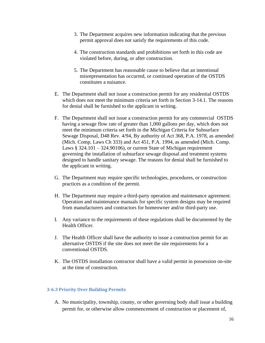- 3. The Department acquires new information indicating that the previous permit approval does not satisfy the requirements of this code.
- 4. The construction standards and prohibitions set forth in this code are violated before, during, or after construction.
- 5. The Department has reasonable cause to believe that an intentional misrepresentation has occurred, or continued operation of the OSTDS constitutes a nuisance.
- E. The Department shall not issue a construction permit for any residential OSTDS which does not meet the minimum criteria set forth in Section 3-14.1. The reasons for denial shall be furnished to the applicant in writing.
- F. The Department shall not issue a construction permit for any commercial OSTDS having a sewage flow rate of greater than 1,000 gallons per day, which does not meet the minimum criteria set forth in the Michigan Criteria for Subsurface Sewage Disposal, D48 Rev. 4/94, By authority of Act 368, P.A. 1978, as amended (Mich. Comp. Laws Ch 333) and Act 451, P.A. 1994, as amended (Mich. Comp. Laws  $§$  324.101 – 324.90106), or current State of Michigan requirement governing the installation of subsurface sewage disposal and treatment systems designed to handle sanitary sewage. The reasons for denial shall be furnished to the applicant in writing.
- G. The Department may require specific technologies, procedures, or construction practices as a condition of the permit.
- H. The Department may require a third-party operation and maintenance agreement. Operation and maintenance manuals for specific system designs may be required from manufacturers and contractors for homeowner and/or third-party use.
- I. Any variance to the requirements of these regulations shall be documented by the Health Officer.
- J. The Health Officer shall have the authority to issue a construction permit for an alternative OSTDS if the site does not meet the site requirements for a conventional OSTDS.
- K. The OSTDS installation contractor shall have a valid permit in possession on-site at the time of construction.

#### <span id="page-20-0"></span>**3-6.3 Priority Over Building Permits**

A. No municipality, township, county, or other governing body shall issue a building permit for, or otherwise allow commencement of construction or placement of,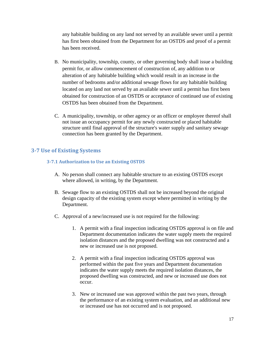any habitable building on any land not served by an available sewer until a permit has first been obtained from the Department for an OSTDS and proof of a permit has been received.

- B. No municipality, township, county, or other governing body shall issue a building permit for, or allow commencement of construction of, any addition to or alteration of any habitable building which would result in an increase in the number of bedrooms and/or additional sewage flows for any habitable building located on any land not served by an available sewer until a permit has first been obtained for construction of an OSTDS or acceptance of continued use of existing OSTDS has been obtained from the Department.
- C. A municipality, township, or other agency or an officer or employee thereof shall not issue an occupancy permit for any newly constructed or placed habitable structure until final approval of the structure's water supply and sanitary sewage connection has been granted by the Department.

#### <span id="page-21-1"></span><span id="page-21-0"></span>**3-7 Use of Existing Systems**

#### **3-7.1 Authorization to Use an Existing OSTDS**

- A. No person shall connect any habitable structure to an existing OSTDS except where allowed, in writing, by the Department.
- B. Sewage flow to an existing OSTDS shall not be increased beyond the original design capacity of the existing system except where permitted in writing by the Department.
- C. Approval of a new/increased use is not required for the following:
	- 1. A permit with a final inspection indicating OSTDS approval is on file and Department documentation indicates the water supply meets the required isolation distances and the proposed dwelling was not constructed and a new or increased use is not proposed.
	- 2. A permit with a final inspection indicating OSTDS approval was performed within the past five years and Department documentation indicates the water supply meets the required isolation distances, the proposed dwelling was constructed, and new or increased use does not occur.
	- 3. New or increased use was approved within the past two years, through the performance of an existing system evaluation, and an additional new or increased use has not occurred and is not proposed.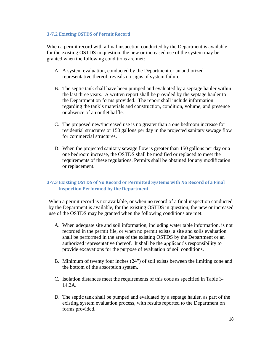#### <span id="page-22-0"></span>**3-7.2 Existing OSTDS of Permit Record**

When a permit record with a final inspection conducted by the Department is available for the existing OSTDS in question, the new or increased use of the system may be granted when the following conditions are met:

- A. A system evaluation, conducted by the Department or an authorized representative thereof, reveals no signs of system failure.
- B. The septic tank shall have been pumped and evaluated by a septage hauler within the last three years. A written report shall be provided by the septage hauler to the Department on forms provided. The report shall include information regarding the tank's materials and construction, condition, volume, and presence or absence of an outlet baffle.
- C. The proposed new/increased use is no greater than a one bedroom increase for residential structures or 150 gallons per day in the projected sanitary sewage flow for commercial structures.
- D. When the projected sanitary sewage flow is greater than 150 gallons per day or a one bedroom increase, the OSTDS shall be modified or replaced to meet the requirements of these regulations. Permits shall be obtained for any modification or replacement.

#### <span id="page-22-1"></span>**3-7.3 Existing OSTDS of No Record or Permitted Systems with No Record of a Final Inspection Performed by the Department.**

When a permit record is not available, or when no record of a final inspection conducted by the Department is available, for the existing OSTDS in question, the new or increased use of the OSTDS may be granted when the following conditions are met:

- A. When adequate site and soil information, including water table information, is not recorded in the permit file, or when no permit exists, a site and soils evaluation shall be performed in the area of the existing OSTDS by the Department or an authorized representative thereof. It shall be the applicant's responsibility to provide excavations for the purpose of evaluation of soil conditions.
- B. Minimum of twenty four inches (24") of soil exists between the limiting zone and the bottom of the absorption system.
- C. Isolation distances meet the requirements of this code as specified in Table 3- 14.2A.
- D. The septic tank shall be pumped and evaluated by a septage hauler, as part of the existing system evaluation process, with results reported to the Department on forms provided.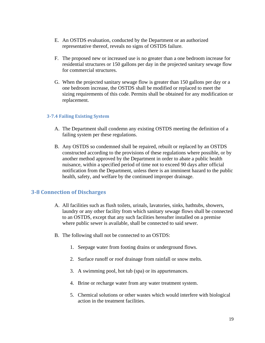- E. An OSTDS evaluation, conducted by the Department or an authorized representative thereof, reveals no signs of OSTDS failure.
- F. The proposed new or increased use is no greater than a one bedroom increase for residential structures or 150 gallons per day in the projected sanitary sewage flow for commercial structures.
- G. When the projected sanitary sewage flow is greater than 150 gallons per day or a one bedroom increase, the OSTDS shall be modified or replaced to meet the sizing requirements of this code. Permits shall be obtained for any modification or replacement.

#### <span id="page-23-0"></span>**3-7.4 Failing Existing System**

- A. The Department shall condemn any existing OSTDS meeting the definition of a failing system per these regulations.
- B. Any OSTDS so condemned shall be repaired, rebuilt or replaced by an OSTDS constructed according to the provisions of these regulations where possible, or by another method approved by the Department in order to abate a public health nuisance, within a specified period of time not to exceed 90 days after official notification from the Department, unless there is an imminent hazard to the public health, safety, and welfare by the continued improper drainage.

#### <span id="page-23-1"></span>**3-8 Connection of Discharges**

- A. All facilities such as flush toilets, urinals, lavatories, sinks, bathtubs, showers, laundry or any other facility from which sanitary sewage flows shall be connected to an OSTDS, except that any such facilities hereafter installed on a premise where public sewer is available, shall be connected to said sewer.
- B. The following shall not be connected to an OSTDS:
	- 1. Seepage water from footing drains or underground flows.
	- 2. Surface runoff or roof drainage from rainfall or snow melts.
	- 3. A swimming pool, hot tub (spa) or its appurtenances.
	- 4. Brine or recharge water from any water treatment system.
	- 5. Chemical solutions or other wastes which would interfere with biological action in the treatment facilities.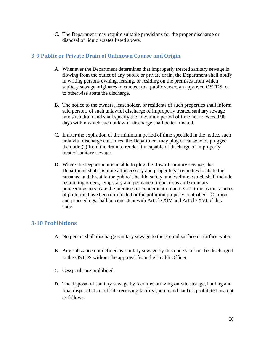C. The Department may require suitable provisions for the proper discharge or disposal of liquid wastes listed above.

#### <span id="page-24-0"></span>**3-9 Public or Private Drain of Unknown Course and Origin**

- A. Whenever the Department determines that improperly treated sanitary sewage is flowing from the outlet of any public or private drain, the Department shall notify in writing persons owning, leasing, or residing on the premises from which sanitary sewage originates to connect to a public sewer, an approved OSTDS, or to otherwise abate the discharge.
- B. The notice to the owners, leaseholder, or residents of such properties shall inform said persons of such unlawful discharge of improperly treated sanitary sewage into such drain and shall specify the maximum period of time not to exceed 90 days within which such unlawful discharge shall be terminated.
- C. If after the expiration of the minimum period of time specified in the notice, such unlawful discharge continues, the Department may plug or cause to be plugged the outlet(s) from the drain to render it incapable of discharge of improperly treated sanitary sewage.
- D. Where the Department is unable to plug the flow of sanitary sewage, the Department shall institute all necessary and proper legal remedies to abate the nuisance and threat to the public's health, safety, and welfare, which shall include restraining orders, temporary and permanent injunctions and summary proceedings to vacate the premises or condemnation until such time as the sources of pollution have been eliminated or the pollution properly controlled. Citation and proceedings shall be consistent with Article XIV and Article XVI of this code.

## <span id="page-24-1"></span>**3-10 Prohibitions**

- A. No person shall discharge sanitary sewage to the ground surface or surface water.
- B. Any substance not defined as sanitary sewage by this code shall not be discharged to the OSTDS without the approval from the Health Officer.
- C. Cesspools are prohibited.
- D. The disposal of sanitary sewage by facilities utilizing on-site storage, hauling and final disposal at an off-site receiving facility (pump and haul) is prohibited, except as follows: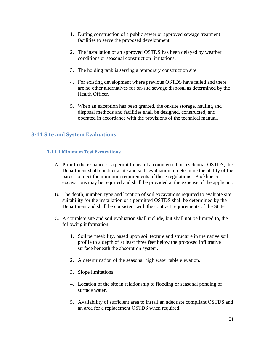- 1. During construction of a public sewer or approved sewage treatment facilities to serve the proposed development.
- 2. The installation of an approved OSTDS has been delayed by weather conditions or seasonal construction limitations.
- 3. The holding tank is serving a temporary construction site.
- 4. For existing development where previous OSTDS have failed and there are no other alternatives for on-site sewage disposal as determined by the Health Officer.
- 5. When an exception has been granted, the on-site storage, hauling and disposal methods and facilities shall be designed, constructed, and operated in accordance with the provisions of the technical manual.

#### <span id="page-25-1"></span><span id="page-25-0"></span>**3-11 Site and System Evaluations**

#### **3-11.1 Minimum Test Excavations**

- A. Prior to the issuance of a permit to install a commercial or residential OSTDS, the Department shall conduct a site and soils evaluation to determine the ability of the parcel to meet the minimum requirements of these regulations. Backhoe cut excavations may be required and shall be provided at the expense of the applicant.
- B. The depth, number, type and location of soil excavations required to evaluate site suitability for the installation of a permitted OSTDS shall be determined by the Department and shall be consistent with the contract requirements of the State.
- C. A complete site and soil evaluation shall include, but shall not be limited to, the following information:
	- 1. Soil permeability, based upon soil texture and structure in the native soil profile to a depth of at least three feet below the proposed infiltrative surface beneath the absorption system.
	- 2. A determination of the seasonal high water table elevation.
	- 3. Slope limitations.
	- 4. Location of the site in relationship to flooding or seasonal ponding of surface water.
	- 5. Availability of sufficient area to install an adequate compliant OSTDS and an area for a replacement OSTDS when required.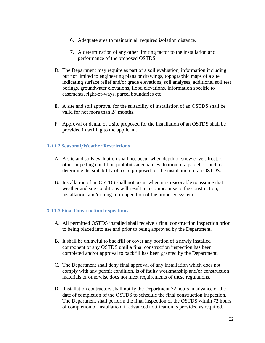- 6. Adequate area to maintain all required isolation distance.
- 7. A determination of any other limiting factor to the installation and performance of the proposed OSTDS.
- D. The Department may require as part of a soil evaluation, information including but not limited to engineering plans or drawings, topographic maps of a site indicating surface relief and/or grade elevations, soil analyses, additional soil test borings, groundwater elevations, flood elevations, information specific to easements, right-of-ways, parcel boundaries etc.
- E. A site and soil approval for the suitability of installation of an OSTDS shall be valid for not more than 24 months.
- F. Approval or denial of a site proposed for the installation of an OSTDS shall be provided in writing to the applicant.

#### <span id="page-26-0"></span>**3-11.2 Seasonal/Weather Restrictions**

- A. A site and soils evaluation shall not occur when depth of snow cover, frost, or other impeding condition prohibits adequate evaluation of a parcel of land to determine the suitability of a site proposed for the installation of an OSTDS.
- B. Installation of an OSTDS shall not occur when it is reasonable to assume that weather and site conditions will result in a compromise to the construction, installation, and/or long-term operation of the proposed system.

#### <span id="page-26-1"></span>**3-11.3 Final Construction Inspections**

- A. All permitted OSTDS installed shall receive a final construction inspection prior to being placed into use and prior to being approved by the Department.
- B. It shall be unlawful to backfill or cover any portion of a newly installed component of any OSTDS until a final construction inspection has been completed and/or approval to backfill has been granted by the Department.
- C. The Department shall deny final approval of any installation which does not comply with any permit condition, is of faulty workmanship and/or construction materials or otherwise does not meet requirements of these regulations.
- D. Installation contractors shall notify the Department 72 hours in advance of the date of completion of the OSTDS to schedule the final construction inspection. The Department shall perform the final inspection of the OSTDS within 72 hours of completion of installation, if advanced notification is provided as required.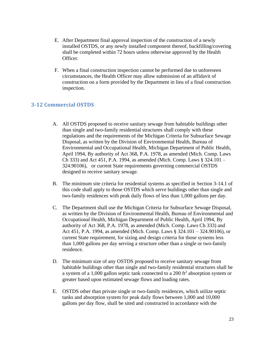- E. After Department final approval inspection of the construction of a newly installed OSTDS, or any newly installed component thereof, backfilling/covering shall be completed within 72 hours unless otherwise approved by the Health Officer.
- F. When a final construction inspection cannot be performed due to unforeseen circumstances, the Health Officer may allow submission of an affidavit of construction on a form provided by the Department in lieu of a final construction inspection.

### <span id="page-27-0"></span>**3-12 Commercial OSTDS**

- A. All OSTDS proposed to receive sanitary sewage from habitable buildings other than single and two-family residential structures shall comply with these regulations and the requirements of the Michigan Criteria for Subsurface Sewage Disposal, as written by the Division of Environmental Health, Bureau of Environmental and Occupational Health, Michigan Department of Public Health, April 1994, By authority of Act 368, P.A. 1978, as amended (Mich. Comp. Laws Ch 333) and Act 451, P.A. 1994, as amended (Mich. Comp. Laws § 324.101 – 324.90106), or current State requirements governing commercial OSTDS designed to receive sanitary sewage.
- B. The minimum site criteria for residential systems as specified in Section 3-14.1 of this code shall apply to those OSTDS which serve buildings other than single and two-family residences with peak daily flows of less than 1,000 gallons per day.
- C. The Department shall use the Michigan Criteria for Subsurface Sewage Disposal, as written by the Division of Environmental Health, Bureau of Environmental and Occupational Health, Michigan Department of Public Health, April 1994, By authority of Act 368, P.A. 1978, as amended (Mich. Comp. Laws Ch 333) and Act 451, P.A. 1994, as amended (Mich. Comp. Laws § 324.101 – 324.90106), or current State requirement, for sizing and design criteria for those systems less than 1,000 gallons per day serving a structure other than a single or two-family residence.
- D. The minimum size of any OSTDS proposed to receive sanitary sewage from habitable buildings other than single and two-family residential structures shall be a system of a 1,000 gallon septic tank connected to a 200 ft<sup>2</sup> absorption system or greater based upon estimated sewage flows and loading rates.
- E. OSTDS other than private single or two-family residences, which utilize septic tanks and absorption system for peak daily flows between 1,000 and 10,000 gallons per day flow, shall be sited and constructed in accordance with the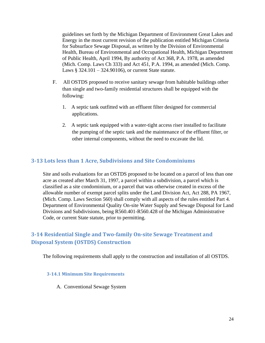guidelines set forth by the Michigan Department of Environment Great Lakes and Energy in the most current revision of the publication entitled Michigan Criteria for Subsurface Sewage Disposal, as written by the Division of Environmental Health, Bureau of Environmental and Occupational Health, Michigan Department of Public Health, April 1994, By authority of Act 368, P.A. 1978, as amended (Mich. Comp. Laws Ch 333) and Act 451, P.A. 1994, as amended (Mich. Comp. Laws § 324.101 – 324.90106), or current State statute.

- F. All OSTDS proposed to receive sanitary sewage from habitable buildings other than single and two-family residential structures shall be equipped with the following:
	- 1. A septic tank outfitted with an effluent filter designed for commercial applications.
	- 2. A septic tank equipped with a water-tight access riser installed to facilitate the pumping of the septic tank and the maintenance of the effluent filter, or other internal components, without the need to excavate the lid.

#### <span id="page-28-0"></span>**3-13 Lots less than 1 Acre, Subdivisions and Site Condominiums**

Site and soils evaluations for an OSTDS proposed to be located on a parcel of less than one acre as created after March 31, 1997, a parcel within a subdivision, a parcel which is classified as a site condominium, or a parcel that was otherwise created in excess of the allowable number of exempt parcel splits under the Land Division Act, Act 288, PA 1967, (Mich. Comp. Laws Section 560) shall comply with all aspects of the rules entitled Part 4. Department of Environmental Quality On-site Water Supply and Sewage Disposal for Land Divisions and Subdivisions, being R560.401-R560.428 of the Michigan Administrative Code, or current State statute, prior to permitting.

## <span id="page-28-1"></span>**3-14 Residential Single and Two-family On-site Sewage Treatment and Disposal System (OSTDS) Construction**

The following requirements shall apply to the construction and installation of all OSTDS.

#### <span id="page-28-2"></span>**3-14.1 Minimum Site Requirements**

A. Conventional Sewage System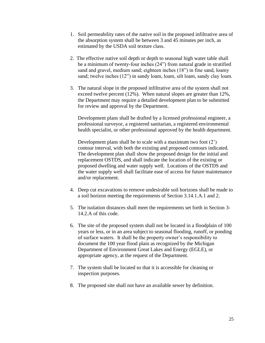- 1. Soil permeability rates of the native soil in the proposed infiltrative area of the absorption system shall be between 3 and 45 minutes per inch, as estimated by the USDA soil texture class.
- 2. The effective native soil depth or depth to seasonal high water table shall be a minimum of twenty-four inches (24") from natural grade in stratified sand and gravel, medium sand; eighteen inches (18") in fine sand, loamy sand; twelve inches (12") in sandy loam, loam, silt loam, sandy clay loam.
- 3. The natural slope in the proposed infiltrative area of the system shall not exceed twelve percent (12%). When natural slopes are greater than 12%, the Department may require a detailed development plan to be submitted for review and approval by the Department.

Development plans shall be drafted by a licensed professional engineer, a professional surveyor, a registered sanitarian, a registered environmental health specialist, or other professional approved by the health department.

Development plans shall be to scale with a maximum two foot  $(2')$ contour interval, with both the existing and proposed contours indicated. The development plan shall show the proposed design for the initial and replacement OSTDS, and shall indicate the location of the existing or proposed dwelling and water supply well. Locations of the OSTDS and the water supply well shall facilitate ease of access for future maintenance and/or replacement.

- 4. Deep cut excavations to remove undesirable soil horizons shall be made to a soil horizon meeting the requirements of Section 3.14.1.A.1 and 2.
- 5. The isolation distances shall meet the requirements set forth in Section 3- 14.2.A of this code.
- 6. The site of the proposed system shall not be located in a floodplain of 100 years or less, or in an area subject to seasonal flooding, runoff, or ponding of surface waters. It shall be the property owner's responsibility to document the 100 year flood plain as recognized by the Michigan Department of Environment Great Lakes and Energy (EGLE), or appropriate agency, at the request of the Department.
- 7. The system shall be located so that it is accessible for cleaning or inspection purposes.
- 8. The proposed site shall not have an available sewer by definition.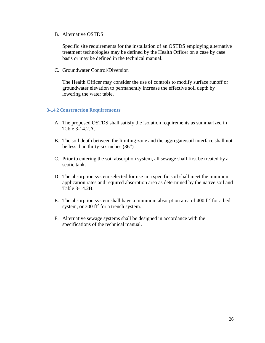B. Alternative OSTDS

Specific site requirements for the installation of an OSTDS employing alternative treatment technologies may be defined by the Health Officer on a case by case basis or may be defined in the technical manual.

C. Groundwater Control/Diversion

The Health Officer may consider the use of controls to modify surface runoff or groundwater elevation to permanently increase the effective soil depth by lowering the water table.

#### <span id="page-30-0"></span>**3-14.2 Construction Requirements**

- A. The proposed OSTDS shall satisfy the isolation requirements as summarized in Table 3-14.2.A.
- B. The soil depth between the limiting zone and the aggregate/soil interface shall not be less than thirty-six inches (36").
- C. Prior to entering the soil absorption system, all sewage shall first be treated by a septic tank.
- D. The absorption system selected for use in a specific soil shall meet the minimum application rates and required absorption area as determined by the native soil and Table 3-14.2B.
- E. The absorption system shall have a minimum absorption area of  $400 \text{ ft}^2$  for a bed system, or 300 ft<sup>2</sup> for a trench system.
- F. Alternative sewage systems shall be designed in accordance with the specifications of the technical manual.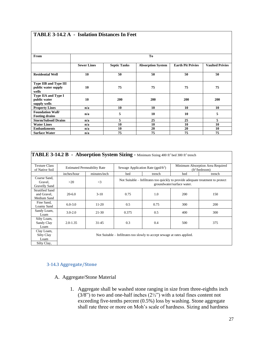## **TABLE 3-14.2 A - Isolation Distances In Feet**

| From                         | T <sub>0</sub>     |                     |                          |                          |                        |
|------------------------------|--------------------|---------------------|--------------------------|--------------------------|------------------------|
|                              |                    |                     |                          |                          |                        |
|                              | <b>Sewer Lines</b> | <b>Septic Tanks</b> | <b>Absorption System</b> | <b>Earth Pit Privies</b> | <b>Vaulted Privies</b> |
|                              |                    |                     |                          |                          |                        |
| <b>Residential Well</b>      | 10                 | 50                  | 50                       | 50                       | 50                     |
|                              |                    |                     |                          |                          |                        |
| <b>Type IIB and Type III</b> |                    |                     |                          |                          |                        |
| public water supply          | 10                 | 75                  | 75                       | 75                       | 75                     |
| wells                        |                    |                     |                          |                          |                        |
| Type IIA and Type I          |                    |                     |                          |                          |                        |
| public water                 | 10                 | 200                 | 200                      | 200                      | 200                    |
| supply wells                 |                    |                     |                          |                          |                        |
| <b>Property Lines</b>        | n/a                | 10                  | 10                       | 10                       | 10                     |
| <b>Foundation Wall/</b>      | n/a                | 5                   | 10                       | 10                       | 5                      |
| <b>Footing drains</b>        |                    |                     |                          |                          |                        |
| <b>Storm/Subsoil Drains</b>  | n/a                | 5                   | 25                       | 25                       | 5                      |
| <b>Water Lines</b>           | n/a                | 10                  | 10                       | 10                       | 10                     |
| <b>Embankments</b>           | n/a                | 10                  | 20                       | 20                       | 10                     |
| <b>Surface Water</b>         | n/a                | 75                  | 75                       | 75                       | 75                     |

|                                                      |                                    |              | <b>TABLE 3-14.2 B - Absorption System Sizing - Minimum Sizing 400 ft<sup>2</sup> bed 300 ft<sup>2</sup> trench</b> |        |                                                                   |        |
|------------------------------------------------------|------------------------------------|--------------|--------------------------------------------------------------------------------------------------------------------|--------|-------------------------------------------------------------------|--------|
| <b>Texture Class</b><br>of Native Soil               | <b>Estimated Permeability Rate</b> |              | Sewage Application Rate (gpd/ft <sup>2</sup> )                                                                     |        | Minimum Absorption Area Required<br>$({\rm ft}^2/\text{bedroom})$ |        |
|                                                      | inches/hour                        | minutes/inch | bed                                                                                                                | trench | bed                                                               | trench |
| Coarse Sand,<br>Gravel,<br>Gravelly Sand             | $>20$                              | $\leq$ 3     | Not Suitable – Infiltrates too quickly to provide adequate treatment to protect<br>groundwater/surface water.      |        |                                                                   |        |
| <b>Stratified Sand</b><br>and Gravel,<br>Medium Sand | $20 - 6.0$                         | $3-10$       | 0.75                                                                                                               | 1.0    | 200                                                               | 150    |
| Fine Sand,<br>Loamy Sand                             | $6.0 - 3.0$                        | $11-20$      | 0.5                                                                                                                | 0.75   | 300                                                               | 200    |
| Sandy Loam,<br>Loam                                  | $3.0 - 2.0$                        | 21-30        | 0.375                                                                                                              | 0.5    | 400                                                               | 300    |
| Silty Loam,<br>Sandy Clay<br>Loam                    | $2.0 - 1.35$                       | $31 - 45$    | 0.3                                                                                                                | 0.4    | 500                                                               | 375    |
| Clay Loam,<br>Silty Clay<br>Loam<br>Silty Clay,      |                                    |              | Not Suitable – Infiltrates too slowly to accept sewage at rates applied.                                           |        |                                                                   |        |

#### <span id="page-31-0"></span>**3-14.3 Aggregate/Stone**

- A. Aggregate/Stone Material
	- 1. Aggregate shall be washed stone ranging in size from three-eighths inch  $(3/8)$  to two and one-half inches  $(2\frac{1}{2})$  with a total fines content not exceeding five-tenths percent (0.5%) loss by washing. Stone aggregate shall rate three or more on Moh's scale of hardness. Sizing and hardness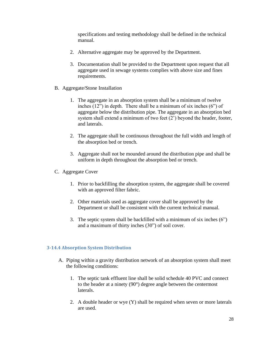specifications and testing methodology shall be defined in the technical manual.

- 2. Alternative aggregate may be approved by the Department.
- 3. Documentation shall be provided to the Department upon request that all aggregate used in sewage systems complies with above size and fines requirements.
- B. Aggregate/Stone Installation
	- 1. The aggregate in an absorption system shall be a minimum of twelve inches (12") in depth. There shall be a minimum of six inches (6") of aggregate below the distribution pipe. The aggregate in an absorption bed system shall extend a minimum of two feet (2') beyond the header, footer, and laterals.
	- 2. The aggregate shall be continuous throughout the full width and length of the absorption bed or trench.
	- 3. Aggregate shall not be mounded around the distribution pipe and shall be uniform in depth throughout the absorption bed or trench.
- C. Aggregate Cover
	- 1. Prior to backfilling the absorption system, the aggregate shall be covered with an approved filter fabric.
	- 2. Other materials used as aggregate cover shall be approved by the Department or shall be consistent with the current technical manual.
	- 3. The septic system shall be backfilled with a minimum of six inches (6") and a maximum of thirty inches (30") of soil cover.

#### <span id="page-32-0"></span>**3-14.4 Absorption System Distribution**

- A. Piping within a gravity distribution network of an absorption system shall meet the following conditions:
	- 1. The septic tank effluent line shall be solid schedule 40 PVC and connect to the header at a ninety (90°) degree angle between the centermost laterals.
	- 2. A double header or wye (Y) shall be required when seven or more laterals are used.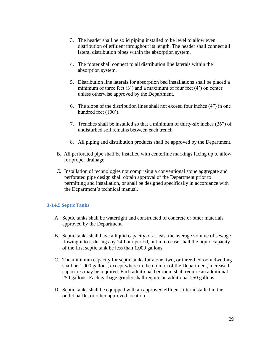- 3. The header shall be solid piping installed to be level to allow even distribution of effluent throughout its length. The header shall connect all lateral distribution pipes within the absorption system.
- 4. The footer shall connect to all distribution line laterals within the absorption system.
- 5. Distribution line laterals for absorption bed installations shall be placed a minimum of three feet  $(3')$  and a maximum of four feet  $(4')$  on center unless otherwise approved by the Department.
- 6. The slope of the distribution lines shall not exceed four inches (4") in one hundred feet (100<sup>°</sup>).
- 7. Trenches shall be installed so that a minimum of thirty-six inches (36") of undisturbed soil remains between each trench.
- 8. All piping and distribution products shall be approved by the Department.
- B. All perforated pipe shall be installed with centerline markings facing up to allow for proper drainage.
- C. Installation of technologies not comprising a conventional stone aggregate and perforated pipe design shall obtain approval of the Department prior to permitting and installation, or shall be designed specifically in accordance with the Department's technical manual.

#### <span id="page-33-0"></span>**3-14.5 Septic Tanks**

- A. Septic tanks shall be watertight and constructed of concrete or other materials approved by the Department.
- B. Septic tanks shall have a liquid capacit**y** of at least the average volume of sewage flowing into it during any 24-hour period, but in no case shall the liquid capacity of the first septic tank be less than 1,000 gallons.
- C. The minimum capacity for septic tanks for a one, two, or three-bedroom dwelling shall be 1,000 gallons, except where in the opinion of the Department, increased capacities may be required. Each additional bedroom shall require an additional 250 gallons. Each garbage grinder shall require an additional 250 gallons.
- D. Septic tanks shall be equipped with an approved effluent filter installed in the outlet baffle, or other approved location.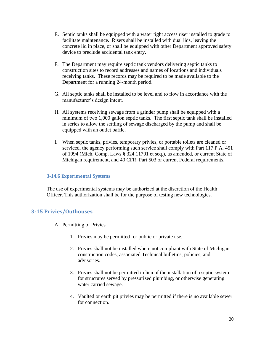- E. Septic tanks shall be equipped with a water tight access riser installed to grade to facilitate maintenance. Risers shall be installed with dual lids, leaving the concrete lid in place, or shall be equipped with other Department approved safety device to preclude accidental tank entry.
- F. The Department may require septic tank vendors delivering septic tanks to construction sites to record addresses and names of locations and individuals receiving tanks. These records may be required to be made available to the Department for a running 24-month period.
- G. All septic tanks shall be installed to be level and to flow in accordance with the manufacturer's design intent.
- H. All systems receiving sewage from a grinder pump shall be equipped with a minimum of two 1,000 gallon septic tanks. The first septic tank shall be installed in series to allow the settling of sewage discharged by the pump and shall be equipped with an outlet baffle.
- I. When septic tanks, privies, temporary privies, or portable toilets are cleaned or serviced, the agency performing such service shall comply with Part 117 P.A. 451 of 1994 (Mich. Comp. Laws § 324.11701 et seq.), as amended, or current State of Michigan requirement, and 40 CFR, Part 503 or current Federal requirements.

#### <span id="page-34-0"></span>**3-14.6 Experimental Systems**

The use of experimental systems may be authorized at the discretion of the Health Officer. This authorization shall be for the purpose of testing new technologies.

#### <span id="page-34-1"></span>**3-15 Privies/Outhouses**

- A. Permitting of Privies
	- 1. Privies may be permitted for public or private use.
	- 2. Privies shall not be installed where not compliant with State of Michigan construction codes, associated Technical bulletins, policies, and advisories.
	- 3. Privies shall not be permitted in lieu of the installation of a septic system for structures served by pressurized plumbing, or otherwise generating water carried sewage.
	- 4. Vaulted or earth pit privies may be permitted if there is no available sewer for connection.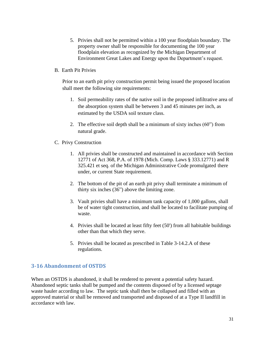- 5. Privies shall not be permitted within a 100 year floodplain boundary. The property owner shall be responsible for documenting the 100 year floodplain elevation as recognized by the Michigan Department of Environment Great Lakes and Energy upon the Department's request.
- B. Earth Pit Privies

Prior to an earth pit privy construction permit being issued the proposed location shall meet the following site requirements:

- 1. Soil permeability rates of the native soil in the proposed infiltrative area of the absorption system shall be between 3 and 45 minutes per inch, as estimated by the USDA soil texture class.
- 2. The effective soil depth shall be a minimum of sixty inches (60") from natural grade.
- C. Privy Construction
	- 1. All privies shall be constructed and maintained in accordance with Section 12771 of Act 368, P.A. of 1978 (Mich. Comp. Laws § 333.12771) and R 325.421 et seq. of the Michigan Administrative Code promulgated there under, or current State requirement.
	- 2. The bottom of the pit of an earth pit privy shall terminate a minimum of thirty six inches (36") above the limiting zone.
	- 3. Vault privies shall have a minimum tank capacity of 1,000 gallons, shall be of water tight construction, and shall be located to facilitate pumping of waste.
	- 4. Privies shall be located at least fifty feet (50') from all habitable buildings other than that which they serve.
	- 5. Privies shall be located as prescribed in Table 3-14.2.A of these regulations.

#### <span id="page-35-0"></span>**3-16 Abandonment of OSTDS**

When an OSTDS is abandoned, it shall be rendered to prevent a potential safety hazard. Abandoned septic tanks shall be pumped and the contents disposed of by a licensed septage waste hauler according to law. The septic tank shall then be collapsed and filled with an approved material or shall be removed and transported and disposed of at a Type II landfill in accordance with law.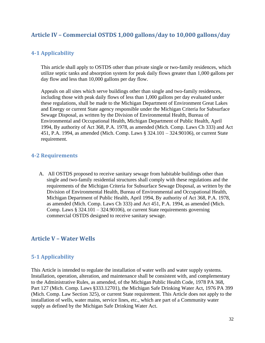## <span id="page-36-0"></span>**Article IV – Commercial OSTDS 1,000 gallons/day to 10,000 gallons/day**

## <span id="page-36-1"></span>**4-1 Applicability**

This article shall apply to OSTDS other than private single or two-family residences, which utilize septic tanks and absorption system for peak daily flows greater than 1,000 gallons per day flow and less than 10,000 gallons per day flow.

Appeals on all sites which serve buildings other than single and two-family residences, including those with peak daily flows of less than 1,000 gallons per day evaluated under these regulations, shall be made to the Michigan Department of Environment Great Lakes and Energy or current State agency responsible under the Michigan Criteria for Subsurface Sewage Disposal, as written by the Division of Environmental Health, Bureau of Environmental and Occupational Health, Michigan Department of Public Health, April 1994, By authority of Act 368, P.A. 1978, as amended (Mich. Comp. Laws Ch 333) and Act 451, P.A. 1994, as amended (Mich. Comp. Laws § 324.101 – 324.90106), or current State requirement.

#### <span id="page-36-2"></span>**4-2 Requirements**

A. All OSTDS proposed to receive sanitary sewage from habitable buildings other than single and two-family residential structures shall comply with these regulations and the requirements of the Michigan Criteria for Subsurface Sewage Disposal, as written by the Division of Environmental Health, Bureau of Environmental and Occupational Health, Michigan Department of Public Health, April 1994, By authority of Act 368, P.A. 1978, as amended (Mich. Comp. Laws Ch 333) and Act 451, P.A. 1994, as amended (Mich. Comp. Laws  $§$  324.101 – 324.90106), or current State requirements governing commercial OSTDS designed to receive sanitary sewage.

## <span id="page-36-3"></span>**Article V – Water Wells**

## <span id="page-36-4"></span>**5-1 Applicability**

This Article is intended to regulate the installation of water wells and water supply systems. Installation, operation, alteration, and maintenance shall be consistent with, and complementary to the Administrative Rules, as amended, of the Michigan Public Health Code, 1978 PA 368, Part 127 (Mich. Comp. Laws §333.12701), the Michigan Safe Drinking Water Act, 1976 PA 399 (Mich. Comp. Law Section 325), or current State requirement. This Article does not apply to the installation of wells, water mains, service lines, etc., which are part of a Community water supply as defined by the Michigan Safe Drinking Water Act.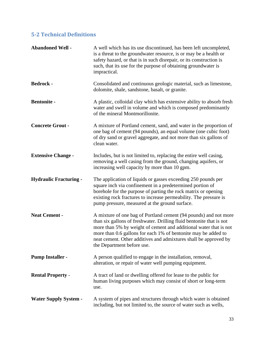## <span id="page-37-0"></span>**5-2 Technical Definitions**

| <b>Abandoned Well -</b>       | A well which has its use discontinued, has been left uncompleted,<br>is a threat to the groundwater resource, is or may be a health or<br>safety hazard, or that is in such disrepair, or its construction is<br>such, that its use for the purpose of obtaining groundwater is<br>impractical.                                                                                   |
|-------------------------------|-----------------------------------------------------------------------------------------------------------------------------------------------------------------------------------------------------------------------------------------------------------------------------------------------------------------------------------------------------------------------------------|
| <b>Bedrock-</b>               | Consolidated and continuous geologic material, such as limestone,<br>dolomite, shale, sandstone, basalt, or granite.                                                                                                                                                                                                                                                              |
| <b>Bentonite -</b>            | A plastic, colloidal clay which has extensive ability to absorb fresh<br>water and swell in volume and which is composed predominantly<br>of the mineral Montmorillonite.                                                                                                                                                                                                         |
| <b>Concrete Grout -</b>       | A mixture of Portland cement, sand, and water in the proportion of<br>one bag of cement (94 pounds), an equal volume (one cubic foot)<br>of dry sand or gravel aggregate, and not more than six gallons of<br>clean water.                                                                                                                                                        |
| <b>Extensive Change -</b>     | Includes, but is not limited to, replacing the entire well casing,<br>removing a well casing from the ground, changing aquifers, or<br>increasing well capacity by more than 10 gpm.                                                                                                                                                                                              |
| <b>Hydraulic Fracturing -</b> | The application of liquids or gasses exceeding 250 pounds per<br>square inch via confinement in a predetermined portion of<br>borehole for the purpose of parting the rock matrix or opening<br>existing rock fractures to increase permeability. The pressure is<br>pump pressure, measured at the ground surface.                                                               |
| <b>Neat Cement -</b>          | A mixture of one bag of Portland cement (94 pounds) and not more<br>than six gallons of freshwater. Drilling fluid bentonite that is not<br>more than 5% by weight of cement and additional water that is not<br>more than 0.6 gallons for each 1% of bentonite may be added to<br>neat cement. Other additives and admixtures shall be approved by<br>the Department before use. |
| <b>Pump Installer -</b>       | A person qualified to engage in the installation, removal,<br>alteration, or repair of water well pumping equipment.                                                                                                                                                                                                                                                              |
| <b>Rental Property -</b>      | A tract of land or dwelling offered for lease to the public for<br>human living purposes which may consist of short or long-term<br>use.                                                                                                                                                                                                                                          |
| <b>Water Supply System -</b>  | A system of pipes and structures through which water is obtained<br>including, but not limited to, the source of water such as wells,                                                                                                                                                                                                                                             |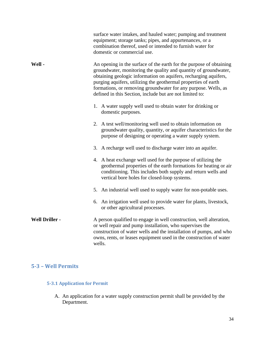|                       | surface water intakes, and hauled water; pumping and treatment<br>equipment; storage tanks; pipes, and appurtenances, or a<br>combination thereof, used or intended to furnish water for<br>domestic or commercial use.                                                                                                                                                                                     |  |  |
|-----------------------|-------------------------------------------------------------------------------------------------------------------------------------------------------------------------------------------------------------------------------------------------------------------------------------------------------------------------------------------------------------------------------------------------------------|--|--|
| Well -                | An opening in the surface of the earth for the purpose of obtaining<br>groundwater, monitoring the quality and quantity of groundwater,<br>obtaining geologic information on aquifers, recharging aquifers,<br>purging aquifers, utilizing the geothermal properties of earth<br>formations, or removing groundwater for any purpose. Wells, as<br>defined in this Section, include but are not limited to: |  |  |
|                       | 1. A water supply well used to obtain water for drinking or<br>domestic purposes.                                                                                                                                                                                                                                                                                                                           |  |  |
|                       | 2. A test well/monitoring well used to obtain information on<br>groundwater quality, quantity, or aquifer characteristics for the<br>purpose of designing or operating a water supply system.                                                                                                                                                                                                               |  |  |
|                       | 3. A recharge well used to discharge water into an aquifer.                                                                                                                                                                                                                                                                                                                                                 |  |  |
|                       | 4. A heat exchange well used for the purpose of utilizing the<br>geothermal properties of the earth formations for heating or air<br>conditioning. This includes both supply and return wells and<br>vertical bore holes for closed-loop systems.                                                                                                                                                           |  |  |
|                       | 5. An industrial well used to supply water for non-potable uses.                                                                                                                                                                                                                                                                                                                                            |  |  |
|                       | 6. An irrigation well used to provide water for plants, livestock,<br>or other agricultural processes.                                                                                                                                                                                                                                                                                                      |  |  |
| <b>Well Driller -</b> | A person qualified to engage in well construction, well alteration,<br>or well repair and pump installation, who supervises the<br>construction of water wells and the installation of pumps, and who<br>owns, rents, or leases equipment used in the construction of water<br>wells.                                                                                                                       |  |  |

## <span id="page-38-1"></span><span id="page-38-0"></span>**5-3 – Well Permits**

#### **5-3.1 Application for Permit**

A. An application for a water supply construction permit shall be provided by the Department.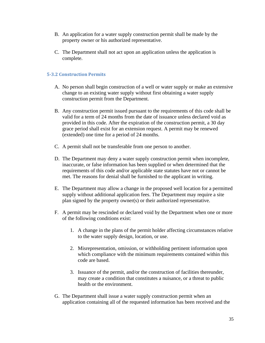- B. An application for a water supply construction permit shall be made by the property owner or his authorized representative.
- C. The Department shall not act upon an application unless the application is complete.

#### <span id="page-39-0"></span>**5-3.2 Construction Permits**

- A. No person shall begin construction of a well or water supply or make an extensive change to an existing water supply without first obtaining a water supply construction permit from the Department.
- B. Any construction permit issued pursuant to the requirements of this code shall be valid for a term of 24 months from the date of issuance unless declared void as provided in this code. After the expiration of the construction permit, a 30 day grace period shall exist for an extension request. A permit may be renewed (extended) one time for a period of 24 months.
- C. A permit shall not be transferable from one person to another.
- D. The Department may deny a water supply construction permit when incomplete, inaccurate, or false information has been supplied or when determined that the requirements of this code and/or applicable state statutes have not or cannot be met. The reasons for denial shall be furnished to the applicant in writing.
- E. The Department may allow a change in the proposed well location for a permitted supply without additional application fees. The Department may require a site plan signed by the property owner(s) or their authorized representative.
- F. A permit may be rescinded or declared void by the Department when one or more of the following conditions exist:
	- 1. A change in the plans of the permit holder affecting circumstances relative to the water supply design, location, or use.
	- 2. Misrepresentation, omission, or withholding pertinent information upon which compliance with the minimum requirements contained within this code are based.
	- 3. Issuance of the permit, and/or the construction of facilities thereunder, may create a condition that constitutes a nuisance, or a threat to public health or the environment.
- G. The Department shall issue a water supply construction permit when an application containing all of the requested information has been received and the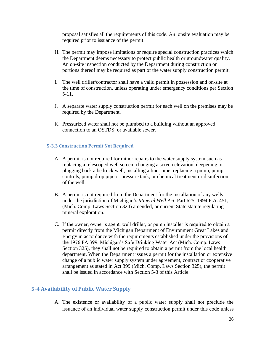proposal satisfies all the requirements of this code. An onsite evaluation may be required prior to issuance of the permit.

- H. The permit may impose limitations or require special construction practices which the Department deems necessary to protect public health or groundwater quality. An on-site inspection conducted by the Department during construction or portions thereof may be required as part of the water supply construction permit.
- I. The well driller/contractor shall have a valid permit in possession and on-site at the time of construction, unless operating under emergency conditions per Section 5-11.
- J. A separate water supply construction permit for each well on the premises may be required by the Department.
- K. Pressurized water shall not be plumbed to a building without an approved connection to an OSTDS, or available sewer.

#### <span id="page-40-0"></span>**5-3.3 Construction Permit Not Required**

- A. A permit is not required for minor repairs to the water supply system such as replacing a telescoped well screen, changing a screen elevation, deepening or plugging back a bedrock well, installing a liner pipe, replacing a pump, pump controls, pump drop pipe or pressure tank, or chemical treatment or disinfection of the well.
- B. A permit is not required from the Department for the installation of any wells under the jurisdiction of Michigan's *Mineral Well Act*, Part 625, 1994 P.A. 451, (Mich. Comp. Laws Section 324) amended, or current State statute regulating mineral exploration.
- C. If the owner, owner's agent, well driller, or pump installer is required to obtain a permit directly from the Michigan Department of Environment Great Lakes and Energy in accordance with the requirements established under the provisions of the 1976 PA 399, Michigan's Safe Drinking Water Act (Mich. Comp. Laws Section 325), they shall not be required to obtain a permit from the local health department. When the Department issues a permit for the installation or extensive change of a public water supply system under agreement, contract or cooperative arrangement as stated in Act 399 (Mich. Comp. Laws Section 325), the permit shall be issued in accordance with Section 5-3 of this Article.

#### <span id="page-40-1"></span>**5-4 Availability of Public Water Supply**

A. The existence or availability of a public water supply shall not preclude the issuance of an individual water supply construction permit under this code unless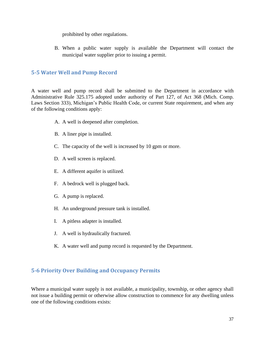prohibited by other regulations.

B. When a public water supply is available the Department will contact the municipal water supplier prior to issuing a permit.

#### <span id="page-41-0"></span>**5-5 Water Well and Pump Record**

A water well and pump record shall be submitted to the Department in accordance with Administrative Rule 325.175 adopted under authority of Part 127, of Act 368 (Mich. Comp. Laws Section 333), Michigan's Public Health Code, or current State requirement, and when any of the following conditions apply:

- A. A well is deepened after completion.
- B. A liner pipe is installed.
- C. The capacity of the well is increased by 10 gpm or more.
- D. A well screen is replaced.
- E. A different aquifer is utilized.
- F. A bedrock well is plugged back.
- G. A pump is replaced.
- H. An underground pressure tank is installed.
- I. A pitless adapter is installed.
- J. A well is hydraulically fractured.
- K. A water well and pump record is requested by the Department.

#### <span id="page-41-1"></span>**5-6 Priority Over Building and Occupancy Permits**

Where a municipal water supply is not available, a municipality, township, or other agency shall not issue a building permit or otherwise allow construction to commence for any dwelling unless one of the following conditions exists: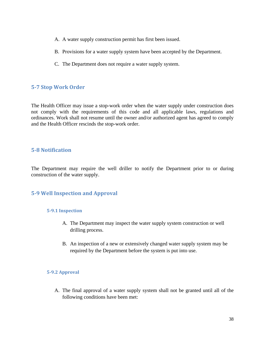- A. A water supply construction permit has first been issued.
- B. Provisions for a water supply system have been accepted by the Department.
- C. The Department does not require a water supply system.

#### <span id="page-42-0"></span>**5-7 Stop Work Order**

The Health Officer may issue a stop-work order when the water supply under construction does not comply with the requirements of this code and all applicable laws, regulations and ordinances. Work shall not resume until the owner and/or authorized agent has agreed to comply and the Health Officer rescinds the stop-work order.

#### <span id="page-42-1"></span>**5-8 Notification**

The Department may require the well driller to notify the Department prior to or during construction of the water supply.

#### <span id="page-42-3"></span><span id="page-42-2"></span>**5-9 Well Inspection and Approval**

#### **5-9.1 Inspection**

- A. The Department may inspect the water supply system construction or well drilling process.
- B. An inspection of a new or extensively changed water supply system may be required by the Department before the system is put into use.

#### <span id="page-42-4"></span>**5-9.2 Approval**

A. The final approval of a water supply system shall not be granted until all of the following conditions have been met: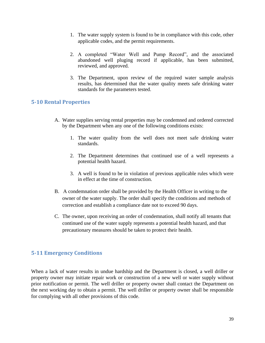- 1. The water supply system is found to be in compliance with this code, other applicable codes, and the permit requirements.
- 2. A completed "Water Well and Pump Record", and the associated abandoned well pluging record if applicable, has been submitted, reviewed, and approved.
- 3. The Department, upon review of the required water sample analysis results, has determined that the water quality meets safe drinking water standards for the parameters tested.

### <span id="page-43-0"></span>**5-10 Rental Properties**

- A. Water supplies serving rental properties may be condemned and ordered corrected by the Department when any one of the following conditions exists:
	- 1. The water quality from the well does not meet safe drinking water standards.
	- 2. The Department determines that continued use of a well represents a potential health hazard.
	- 3. A well is found to be in violation of previous applicable rules which were in effect at the time of construction.
- B. A condemnation order shall be provided by the Health Officer in writing to the owner of the water supply. The order shall specify the conditions and methods of correction and establish a compliance date not to exceed 90 days.
- C. The owner, upon receiving an order of condemnation, shall notify all tenants that continued use of the water supply represents a potential health hazard, and that precautionary measures should be taken to protect their health.

#### <span id="page-43-1"></span>**5-11 Emergency Conditions**

When a lack of water results in undue hardship and the Department is closed, a well driller or property owner may initiate repair work or construction of a new well or water supply without prior notification or permit. The well driller or property owner shall contact the Department on the next working day to obtain a permit. The well driller or property owner shall be responsible for complying with all other provisions of this code.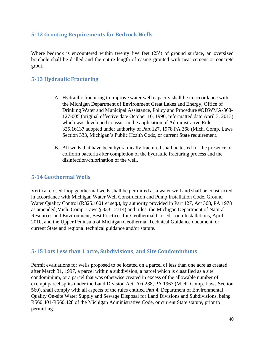### <span id="page-44-0"></span>**5-12 Grouting Requirements for Bedrock Wells**

Where bedrock is encountered within twenty five feet (25') of ground surface, an oversized borehole shall be drilled and the entire length of casing grouted with neat cement or concrete grout.

## <span id="page-44-1"></span>**5-13 Hydraulic Fracturing**

- A. Hydraulic fracturing to improve water well capacity shall be in accordance with the Michigan Department of Environment Great Lakes and Energy, Office of Drinking Water and Municipal Assistance, Policy and Procedure #ODWMA-368- 127-005 (original effective date October 10, 1996, reformatted date April 3, 2013) which was developed to assist in the application of Administrative Rule 325.16137 adopted under authority of Part 127, 1978 PA 368 (Mich. Comp. Laws Section 333, Michigan's Public Health Code, or current State requirement.
- B. All wells that have been hydraulically fractured shall be tested for the presence of coliform bacteria after completion of the hydraulic fracturing process and the disinfection/chlorination of the well.

#### <span id="page-44-2"></span>**5-14 Geothermal Wells**

Vertical closed-loop geothermal wells shall be permitted as a water well and shall be constructed in accordance with Michigan Water Well Construction and Pump Installation Code, Ground Water Quality Control (R325.1601 et seq.), by authority provided in Part 127, Act 368, PA 1978 as amended(Mich. Comp. Laws § 333.12714) and rules, the Michigan Department of Natural Resources and Environment, Best Practices for Geothermal Closed-Loop Installations, April 2010, and the Upper Peninsula of Michigan Geothermal Technical Guidance document, or current State and regional technical guidance and/or statute.

#### <span id="page-44-3"></span>**5-15 Lots Less than 1 acre, Subdivisions, and Site Condominiums**

Permit evaluations for wells proposed to be located on a parcel of less than one acre as created after March 31, 1997, a parcel within a subdivision, a parcel which is classified as a site condominium, or a parcel that was otherwise created in excess of the allowable number of exempt parcel splits under the Land Division Act, Act 288, PA 1967 (Mich. Comp. Laws Section 560), shall comply with all aspects of the rules entitled Part 4. Department of Environmental Quality On-site Water Supply and Sewage Disposal for Land Divisions and Subdivisions, being R560.401-R560.428 of the Michigan Administrative Code, or current State statute, prior to permitting.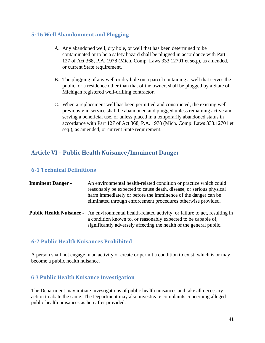#### <span id="page-45-0"></span>**5-16 Well Abandonment and Plugging**

- A. Any abandoned well, dry hole, or well that has been determined to be contaminated or to be a safety hazard shall be plugged in accordance with Part 127 of Act 368, P.A. 1978 (Mich. Comp. Laws 333.12701 et seq.), as amended, or current State requirement.
- B. The plugging of any well or dry hole on a parcel containing a well that serves the public, or a residence other than that of the owner, shall be plugged by a State of Michigan registered well-drilling contractor.
- C. When a replacement well has been permitted and constructed, the existing well previously in service shall be abandoned and plugged unless remaining active and serving a beneficial use, or unless placed in a temporarily abandoned status in accordance with Part 127 of Act 368, P.A. 1978 (Mich. Comp. Laws 333.12701 et seq.), as amended, or current State requirement.

## <span id="page-45-1"></span>**Article VI – Public Health Nuisance/Imminent Danger**

## <span id="page-45-2"></span>**6-1 Technical Definitions**

| <b>Imminent Danger -</b> | An environmental health-related condition or practice which could<br>reasonably be expected to cause death, disease, or serious physical<br>harm immediately or before the imminence of the danger can be<br>eliminated through enforcement procedures otherwise provided. |
|--------------------------|----------------------------------------------------------------------------------------------------------------------------------------------------------------------------------------------------------------------------------------------------------------------------|
|                          | <b>Public Health Nuisance</b> - An environmental health-related activity, or failure to act, resulting in<br>a condition known to, or reasonably expected to be capable of,<br>significantly adversely affecting the health of the general public.                         |

#### <span id="page-45-3"></span>**6-2 Public Health Nuisances Prohibited**

A person shall not engage in an activity or create or permit a condition to exist, which is or may become a public health nuisance.

#### <span id="page-45-4"></span>**6-3 Public Health Nuisance Investigation**

The Department may initiate investigations of public health nuisances and take all necessary action to abate the same. The Department may also investigate complaints concerning alleged public health nuisances as hereafter provided.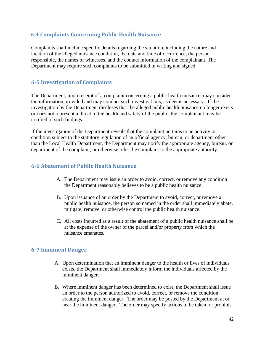#### <span id="page-46-0"></span>**6-4 Complaints Concerning Public Health Nuisance**

Complaints shall include specific details regarding the situation, including the nature and location of the alleged nuisance condition, the date and time of occurrence, the person responsible, the names of witnesses, and the contact information of the complainant. The Department may require such complaints to be submitted in writing and signed.

### <span id="page-46-1"></span>**6-5 Investigation of Complaints**

The Department, upon receipt of a complaint concerning a public health nuisance, may consider the information provided and may conduct such investigations, as deems necessary. If the investigation by the Department discloses that the alleged public health nuisance no longer exists or does not represent a threat to the health and safety of the public, the complainant may be notified of such findings.

If the investigation of the Department reveals that the complaint pertains to an activity or condition subject to the statutory regulation of an official agency, bureau, or department other than the Local Health Department, the Department may notify the appropriate agency, bureau, or department of the complaint, or otherwise refer the complaint to the appropriate authority.

#### <span id="page-46-2"></span>**6-6 Abatement of Public Health Nuisance**

- A. The Department may issue an order to avoid, correct, or remove any condition the Department reasonably believes to be a public health nuisance.
- B. Upon issuance of an order by the Department to avoid, correct, or remove a public health nuisance, the person so named in the order shall immediately abate, mitigate, remove, or otherwise control the public health nuisance.
- C. All costs incurred as a result of the abatement of a public health nuisance shall be at the expense of the owner of the parcel and/or property from which the nuisance emanates.

#### <span id="page-46-3"></span>**6-7 Imminent Danger**

- A. Upon determination that an imminent danger to the health or lives of individuals exists, the Department shall immediately inform the individuals affected by the imminent danger.
- B. Where imminent danger has been determined to exist, the Department shall issue an order to the person authorized to avoid, correct, or remove the condition creating the imminent danger. The order may be posted by the Department at or near the imminent danger. The order may specify actions to be taken, or prohibit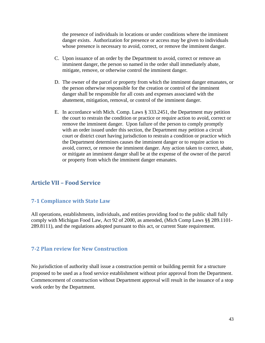the presence of individuals in locations or under conditions where the imminent danger exists. Authorization for presence or access may be given to individuals whose presence is necessary to avoid, correct, or remove the imminent danger.

- C. Upon issuance of an order by the Department to avoid, correct or remove an imminent danger, the person so named in the order shall immediately abate, mitigate, remove, or otherwise control the imminent danger.
- D. The owner of the parcel or property from which the imminent danger emanates, or the person otherwise responsible for the creation or control of the imminent danger shall be responsible for all costs and expenses associated with the abatement, mitigation, removal, or control of the imminent danger.
- E. In accordance with Mich. Comp. Laws § 333.2451, the Department may petition the court to restrain the condition or practice or require action to avoid, correct or remove the imminent danger. Upon failure of the person to comply promptly with an order issued under this section, the Department may petition a circuit court or district court having jurisdiction to restrain a condition or practice which the Department determines causes the imminent danger or to require action to avoid, correct, or remove the imminent danger. Any action taken to correct, abate, or mitigate an imminent danger shall be at the expense of the owner of the parcel or property from which the imminent danger emanates.

## <span id="page-47-0"></span>**Article VII – Food Service**

#### <span id="page-47-1"></span>**7-1 Compliance with State Law**

All operations, establishments, individuals, and entities providing food to the public shall fully comply with Michigan Food Law, Act 92 of 2000, as amended, (Mich Comp Laws §§ 289.1101- 289.8111), and the regulations adopted pursuant to this act, or current State requirement.

#### <span id="page-47-2"></span>**7-2 Plan review for New Construction**

No jurisdiction of authority shall issue a construction permit or building permit for a structure proposed to be used as a food service establishment without prior approval from the Department. Commencement of construction without Department approval will result in the issuance of a stop work order by the Department.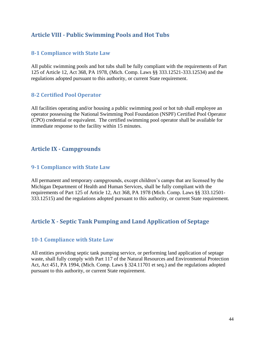## <span id="page-48-0"></span>**Article VIII - Public Swimming Pools and Hot Tubs**

#### <span id="page-48-1"></span>**8-1 Compliance with State Law**

All public swimming pools and hot tubs shall be fully compliant with the requirements of Part 125 of Article 12, Act 368, PA 1978, (Mich. Comp. Laws §§ 333.12521-333.12534) and the regulations adopted pursuant to this authority, or current State requirement.

#### <span id="page-48-2"></span>**8-2 Certified Pool Operator**

All facilities operating and/or housing a public swimming pool or hot tub shall employee an operator possessing the National Swimming Pool Foundation (NSPF) Certified Pool Operator (CPO) credential or equivalent. The certified swimming pool operator shall be available for immediate response to the facility within 15 minutes.

## <span id="page-48-3"></span>**Article IX - Campgrounds**

#### <span id="page-48-4"></span>**9-1 Compliance with State Law**

All permanent and temporary campgrounds, except children's camps that are licensed by the Michigan Department of Health and Human Services, shall be fully compliant with the requirements of Part 125 of Article 12, Act 368, PA 1978 (Mich. Comp. Laws §§ 333.12501- 333.12515) and the regulations adopted pursuant to this authority, or current State requirement.

## <span id="page-48-5"></span>**Article X - Septic Tank Pumping and Land Application of Septage**

#### <span id="page-48-6"></span>**10-1 Compliance with State Law**

All entities providing septic tank pumping service, or performing land application of septage waste, shall fully comply with Part 117 of the Natural Resources and Environmental Protection Act, Act 451, PA 1994, (Mich. Comp. Laws § 324.11701 et seq.) and the regulations adopted pursuant to this authority, or current State requirement.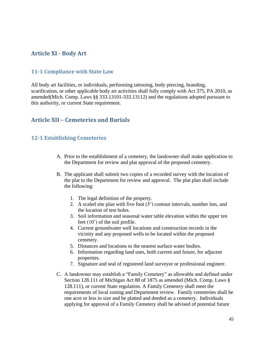## <span id="page-49-0"></span>**Article XI - Body Art**

#### <span id="page-49-1"></span>**11-1 Compliance with State Law**

All body art facilities, or individuals, performing tattooing, body piercing, branding, scarification, or other applicable body art activities shall fully comply with Act 375, PA 2010, as amended(Mich. Comp. Laws §§ 333.13101-333.13112) and the regulations adopted pursuant to this authority, or current State requirement.

### <span id="page-49-2"></span>**Article XII – Cemeteries and Burials**

#### <span id="page-49-3"></span>**12-1 Establishing Cemeteries**

- A. Prior to the establishment of a cemetery, the landowner shall make application to the Department for review and plat approval of the proposed cemetery.
- B. The applicant shall submit two copies of a recorded survey with the location of the plat to the Department for review and approval. The plat plan shall include the following:
	- 1. The legal definition of the property.
	- 2. A scaled site plan with five foot (5') contour intervals, number lots, and the location of test holes.
	- 3. Soil information and seasonal water table elevation within the upper ten feet (10') of the soil profile.
	- 4. Current groundwater well locations and construction records in the vicinity and any proposed wells to be located within the proposed cemetery.
	- 5. Distances and locations to the nearest surface water bodies.
	- 6. Information regarding land uses, both current and future, for adjacent properties.
	- 7. Signature and seal of registered land surveyor or professional engineer.
- C. A landowner may establish a "Family Cemetery" as allowable and defined under Section 128.111 of Michigan Act 88 of 1875 as amended (Mich. Comp. Laws § 128.111), or current State regulation. A Family Cemetery shall meet the requirements of local zoning and Department review. Family cemeteries shall be one acre or less in size and be platted and deeded as a cemetery. Individuals applying for approval of a Family Cemetery shall be advised of potential future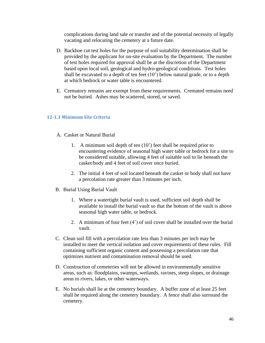complications during land sale or transfer and of the potential necessity of legally vacating and relocating the cemetery at a future date.

- D. Backhoe cut test holes for the purpose of soil suitability determination shall be provided by the applicant for on-site evaluation by the Department. The number of test holes required for approval shall be at the discretion of the Department based upon local soil, geological and hydro-geological conditions. Test holes shall be excavated to a depth of ten feet (10') below natural grade, or to a depth at which bedrock or water table is encountered.
- E. Crematory remains are exempt from these requirements. Cremated remains need not be buried. Ashes may be scattered, stored, or saved.

#### <span id="page-50-0"></span>**12-1.1 Minimum Site Criteria**

- A. Casket or Natural Burial
	- 1. A minimum soil depth of ten (10') feet shall be required prior to encountering evidence of seasonal high water table or bedrock for a site to be considered suitable, allowing 4 feet of suitable soil to lie beneath the casket/body and 4 feet of soil cover once buried.
	- 2. The initial 4 feet of soil located beneath the casket or body shall not have a percolation rate greater than 3 minutes per inch.
- B. Burial Using Burial Vault
	- 1. Where a watertight burial vault is used, sufficient soil depth shall be available to install the burial vault so that the bottom of the vault is above seasonal high water table, or bedrock.
	- 2. A minimum of four feet (4') of soil cover shall be installed over the burial vault.
- C. Clean soil fill with a percolation rate less than 3 minutes per inch may be installed to meet the vertical isolation and cover requirements of these rules. Fill containing sufficient organic content and possessing a percolation rate that optimizes nutrient and contamination removal should be used.
- D. Construction of cemeteries will not be allowed in environmentally sensitive areas, such as: floodplains, swamps, wetlands, ravines, steep slopes, or drainage areas to rivers, lakes, or other waterways.
- E. No burials shall lie at the cemetery boundary. A buffer zone of at least 25 feet shall be required along the cemetery boundary. A fence shall also surround the cemetery.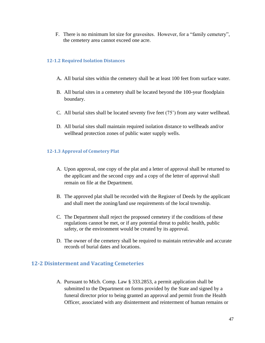F. There is no minimum lot size for gravesites. However, for a "family cemetery", the cemetery area cannot exceed one acre.

#### <span id="page-51-0"></span>**12-1.2 Required Isolation Distances**

- A**.** All burial sites within the cemetery shall be at least 100 feet from surface water.
- B. All burial sites in a cemetery shall be located beyond the 100-year floodplain boundary.
- C. All burial sites shall be located seventy five feet (75') from any water wellhead.
- D. All burial sites shall maintain required isolation distance to wellheads and/or wellhead protection zones of public water supply wells.

#### <span id="page-51-1"></span>**12-1.3 Approval of Cemetery Plat**

- A. Upon approval, one copy of the plat and a letter of approval shall be returned to the applicant and the second copy and a copy of the letter of approval shall remain on file at the Department.
- B. The approved plat shall be recorded with the Register of Deeds by the applicant and shall meet the zoning/land use requirements of the local township.
- C. The Department shall reject the proposed cemetery if the conditions of these regulations cannot be met, or if any potential threat to public health, public safety, or the environment would be created by its approval.
- D. The owner of the cemetery shall be required to maintain retrievable and accurate records of burial dates and locations.

#### <span id="page-51-2"></span>**12-2 Disinterment and Vacating Cemeteries**

A. Pursuant to Mich. Comp. Law § 333.2853, a permit application shall be submitted to the Department on forms provided by the State and signed by a funeral director prior to being granted an approval and permit from the Health Officer, associated with any disinterment and reinterment of human remains or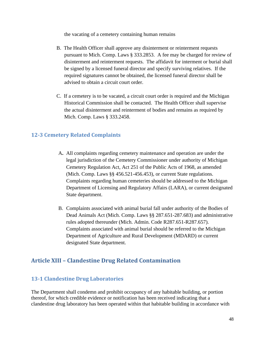the vacating of a cemetery containing human remains

- B. The Health Officer shall approve any disinterment or reinterment requests pursuant to Mich. Comp. Laws § 333.2853. A fee may be charged for review of disinterment and reinterment requests. The affidavit for interment or burial shall be signed by a licensed funeral director and specify surviving relatives. If the required signatures cannot be obtained, the licensed funeral director shall be advised to obtain a circuit court order.
- C. If a cemetery is to be vacated, a circuit court order is required and the Michigan Historical Commission shall be contacted. The Health Officer shall supervise the actual disinterment and reinterment of bodies and remains as required by Mich. Comp. Laws § 333.2458.

## <span id="page-52-0"></span>**12-3 Cemetery Related Complaints**

- A**.** All complaints regarding cemetery maintenance and operation are under the legal jurisdiction of the Cemetery Commissioner under authority of Michigan Cemetery Regulation Act, Act 251 of the Public Acts of 1968, as amended (Mich. Comp. Laws §§ 456.521-456.453), or current State regulations. Complaints regarding human cemeteries should be addressed to the Michigan Department of Licensing and Regulatory Affairs (LARA), or current designated State department.
- B. Complaints associated with animal burial fall under authority of the Bodies of Dead Animals Act (Mich. Comp. Laws §§ 287.651-287.683) and administrative rules adopted thereunder (Mich. Admin. Code R287.651-R287.657). Complaints associated with animal burial should be referred to the Michigan Department of Agriculture and Rural Development (MDARD) or current designated State department.

## <span id="page-52-1"></span>**Article XIII – Clandestine Drug Related Contamination**

#### <span id="page-52-2"></span>**13-1 Clandestine Drug Laboratories**

The Department shall condemn and prohibit occupancy of any habitable building, or portion thereof, for which credible evidence or notification has been received indicating that a clandestine drug laboratory has been operated within that habitable building in accordance with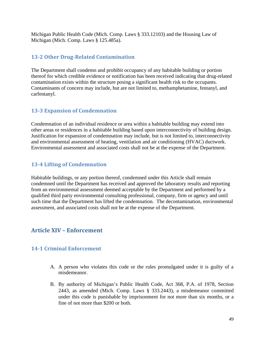Michigan Public Health Code (Mich. Comp. Laws § 333.12103) and the Housing Law of Michigan (Mich. Comp. Laws § 125.485a).

#### <span id="page-53-0"></span>**13-2 Other Drug-Related Contamination**

The Department shall condemn and prohibit occupancy of any habitable building or portion thereof for which credible evidence or notification has been received indicating that drug-related contamination exists within the structure posing a significant health risk to the occupants. Contaminants of concern may include, but are not limited to, methamphetamine, fentanyl, and carfentanyl.

### <span id="page-53-1"></span>**13-3 Expansion of Condemnation**

Condemnation of an individual residence or area within a habitable building may extend into other areas or residences in a habitable building based upon interconnectivity of building design. Justification for expansion of condemnation may include, but is not limited to, interconnectivity and environmental assessment of heating, ventilation and air conditioning (HVAC) ductwork. Environmental assessment and associated costs shall not be at the expense of the Department.

#### <span id="page-53-2"></span>**13-4 Lifting of Condemnation**

Habitable buildings, or any portion thereof, condemned under this Article shall remain condemned until the Department has received and approved the laboratory results and reporting from an environmental assessment deemed acceptable by the Department and performed by a qualified third party environmental consulting professional, company, firm or agency and until such time that the Department has lifted the condemnation. The decontamination, environmental assessment, and associated costs shall not be at the expense of the Department.

## <span id="page-53-3"></span>**Article XIV – Enforcement**

#### <span id="page-53-4"></span>**14-1 Criminal Enforcement**

- A. A person who violates this code or the rules promulgated under it is guilty of a misdemeanor.
- B. By authority of Michigan's Public Health Code, Act 368, P.A. of 1978, Section 2443, as amended (Mich. Comp. Laws § 333.2443), a misdemeanor committed under this code is punishable by imprisonment for not more than six months, or a fine of not more than \$200 or both.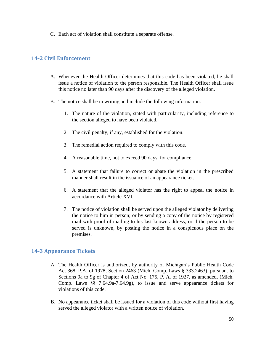C. Each act of violation shall constitute a separate offense.

#### <span id="page-54-0"></span>**14-2 Civil Enforcement**

- A. Whenever the Health Officer determines that this code has been violated, he shall issue a notice of violation to the person responsible. The Health Officer shall issue this notice no later than 90 days after the discovery of the alleged violation.
- B. The notice shall be in writing and include the following information:
	- 1. The nature of the violation, stated with particularity, including reference to the section alleged to have been violated.
	- 2. The civil penalty, if any, established for the violation.
	- 3. The remedial action required to comply with this code.
	- 4. A reasonable time, not to exceed 90 days, for compliance.
	- 5. A statement that failure to correct or abate the violation in the prescribed manner shall result in the issuance of an appearance ticket.
	- 6. A statement that the alleged violator has the right to appeal the notice in accordance with Article XVI.
	- 7. The notice of violation shall be served upon the alleged violator by delivering the notice to him in person; or by sending a copy of the notice by registered mail with proof of mailing to his last known address; or if the person to be served is unknown, by posting the notice in a conspicuous place on the premises.

#### <span id="page-54-1"></span>**14-3 Appearance Tickets**

- A. The Health Officer is authorized, by authority of Michigan's Public Health Code Act 368, P.A. of 1978, Section 2463 (Mich. Comp. Laws § 333.2463), pursuant to Sections 9a to 9g of Chapter 4 of Act No. 175, P. A. of 1927, as amended, (Mich. Comp. Laws §§ 7.64.9a-7.64.9g), to issue and serve appearance tickets for violations of this code.
- B. No appearance ticket shall be issued for a violation of this code without first having served the alleged violator with a written notice of violation.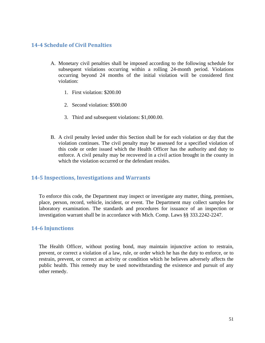#### <span id="page-55-0"></span>**14-4 Schedule of Civil Penalties**

- A. Monetary civil penalties shall be imposed according to the following schedule for subsequent violations occurring within a rolling 24-month period. Violations occurring beyond 24 months of the initial violation will be considered first violation:
	- 1. First violation: \$200.00
	- 2. Second violation: \$500.00
	- 3. Third and subsequent violations: \$1,000.00.
- B. A civil penalty levied under this Section shall be for each violation or day that the violation continues. The civil penalty may be assessed for a specified violation of this code or order issued which the Health Officer has the authority and duty to enforce. A civil penalty may be recovered in a civil action brought in the county in which the violation occurred or the defendant resides.

#### <span id="page-55-1"></span>**14-5 Inspections, Investigations and Warrants**

To enforce this code, the Department may inspect or investigate any matter, thing, premises, place, person, record, vehicle, incident, or event. The Department may collect samples for laboratory examination. The standards and procedures for issuance of an inspection or investigation warrant shall be in accordance with Mich. Comp. Laws §§ 333.2242-2247.

#### <span id="page-55-2"></span>**14-6 Injunctions**

The Health Officer, without posting bond, may maintain injunctive action to restrain, prevent, or correct a violation of a law, rule, or order which he has the duty to enforce, or to restrain, prevent, or correct an activity or condition which he believes adversely affects the public health. This remedy may be used notwithstanding the existence and pursuit of any other remedy.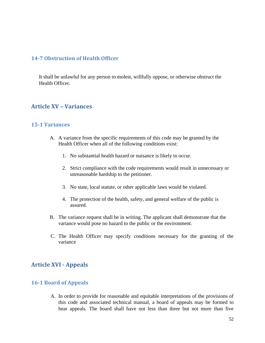#### <span id="page-56-0"></span>**14-7 Obstruction of Health Officer**

It shall be unlawful for any person to molest, willfully oppose, or otherwise obstruct the Health Officer.

## <span id="page-56-1"></span>**Article XV – Variances**

#### <span id="page-56-2"></span>**15-1 Variances**

- A. A variance from the specific requirements of this code may be granted by the Health Officer when all of the following conditions exist:
	- 1. No substantial health hazard or nuisance is likely to occur.
	- 2. Strict compliance with the code requirements would result in unnecessary or unreasonable hardship to the petitioner.
	- 3. No state, local statute, or other applicable laws would be violated.
	- 4. The protection of the health, safety, and general welfare of the public is assured.
- B. The variance request shall be in writing. The applicant shall demonstrate that the variance would pose no hazard to the public or the environment.
- C. The Health Officer may specify conditions necessary for the granting of the variance

## <span id="page-56-3"></span>**Article XVI - Appeals**

#### <span id="page-56-4"></span>**16-1 Board of Appeals**

A. In order to provide for reasonable and equitable interpretations of the provisions of this code and associated technical manual, a board of appeals may be formed to hear appeals. The board shall have not less than three but not more than five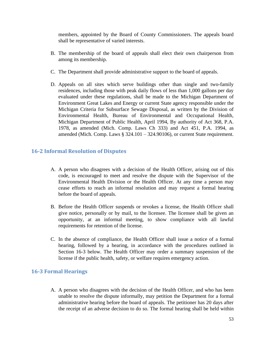members, appointed by the Board of County Commissioners. The appeals board shall be representative of varied interests.

- B. The membership of the board of appeals shall elect their own chairperson from among its membership.
- C. The Department shall provide administrative support to the board of appeals.
- D. Appeals on all sites which serve buildings other than single and two-family residences, including those with peak daily flows of less than 1,000 gallons per day evaluated under these regulations, shall be made to the Michigan Department of Environment Great Lakes and Energy or current State agency responsible under the Michigan Criteria for Subsurface Sewage Disposal, as written by the Division of Environmental Health, Bureau of Environmental and Occupational Health, Michigan Department of Public Health, April 1994, By authority of Act 368, P.A. 1978, as amended (Mich. Comp. Laws Ch 333) and Act 451, P.A. 1994, as amended (Mich. Comp. Laws  $\S$  324.101 – 324.90106), or current State requirement.

#### <span id="page-57-0"></span>**16-2 Informal Resolution of Disputes**

- A. A person who disagrees with a decision of the Health Officer, arising out of this code, is encouraged to meet and resolve the dispute with the Supervisor of the Environmental Health Division or the Health Officer. At any time a person may cease efforts to reach an informal resolution and may request a formal hearing before the board of appeals.
- B. Before the Health Officer suspends or revokes a license, the Health Officer shall give notice, personally or by mail, to the licensee. The licensee shall be given an opportunity, at an informal meeting, to show compliance with all lawful requirements for retention of the license.
- C. In the absence of compliance, the Health Officer shall issue a notice of a formal hearing, followed by a hearing, in accordance with the procedures outlined in Section 16-3 below. The Health Officer may order a summary suspension of the license if the public health, safety, or welfare requires emergency action.

#### <span id="page-57-1"></span>**16-3 Formal Hearings**

A. A person who disagrees with the decision of the Health Officer, and who has been unable to resolve the dispute informally, may petition the Department for a formal administrative hearing before the board of appeals. The petitioner has 20 days after the receipt of an adverse decision to do so. The formal hearing shall be held within